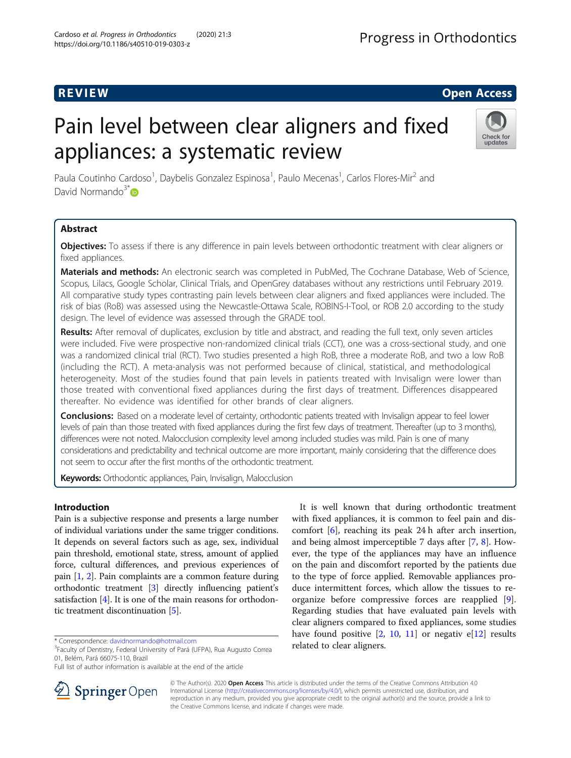# R EVI EW Open Access

# Pain level between clear aligners and fixed appliances: a systematic review



Paula Coutinho Cardoso<sup>1</sup>, Daybelis Gonzalez Espinosa<sup>1</sup>, Paulo Mecenas<sup>1</sup>, Carlos Flores-Mir<sup>2</sup> and David Normando $3^*$ 

# Abstract

Objectives: To assess if there is any difference in pain levels between orthodontic treatment with clear aligners or fixed appliances.

Materials and methods: An electronic search was completed in PubMed, The Cochrane Database, Web of Science, Scopus, Lilacs, Google Scholar, Clinical Trials, and OpenGrey databases without any restrictions until February 2019. All comparative study types contrasting pain levels between clear aligners and fixed appliances were included. The risk of bias (RoB) was assessed using the Newcastle-Ottawa Scale, ROBINS-I-Tool, or ROB 2.0 according to the study design. The level of evidence was assessed through the GRADE tool.

Results: After removal of duplicates, exclusion by title and abstract, and reading the full text, only seven articles were included. Five were prospective non-randomized clinical trials (CCT), one was a cross-sectional study, and one was a randomized clinical trial (RCT). Two studies presented a high RoB, three a moderate RoB, and two a low RoB (including the RCT). A meta-analysis was not performed because of clinical, statistical, and methodological heterogeneity. Most of the studies found that pain levels in patients treated with Invisalign were lower than those treated with conventional fixed appliances during the first days of treatment. Differences disappeared thereafter. No evidence was identified for other brands of clear aligners.

Conclusions: Based on a moderate level of certainty, orthodontic patients treated with Invisalign appear to feel lower levels of pain than those treated with fixed appliances during the first few days of treatment. Thereafter (up to 3 months), differences were not noted. Malocclusion complexity level among included studies was mild. Pain is one of many considerations and predictability and technical outcome are more important, mainly considering that the difference does not seem to occur after the first months of the orthodontic treatment.

Keywords: Orthodontic appliances, Pain, Invisalign, Malocclusion

# Introduction

Pain is a subjective response and presents a large number of individual variations under the same trigger conditions. It depends on several factors such as age, sex, individual pain threshold, emotional state, stress, amount of applied force, cultural differences, and previous experiences of pain [\[1](#page-15-0), [2](#page-15-0)]. Pain complaints are a common feature during orthodontic treatment [[3\]](#page-15-0) directly influencing patient's satisfaction [\[4\]](#page-15-0). It is one of the main reasons for orthodontic treatment discontinuation [\[5\]](#page-15-0).





© The Author(s). 2020 Open Access This article is distributed under the terms of the Creative Commons Attribution 4.0 International License ([http://creativecommons.org/licenses/by/4.0/\)](http://creativecommons.org/licenses/by/4.0/), which permits unrestricted use, distribution, and reproduction in any medium, provided you give appropriate credit to the original author(s) and the source, provide a link to the Creative Commons license, and indicate if changes were made.

<sup>\*</sup> Correspondence: [davidnormando@hotmail.com](mailto:davidnormando@hotmail.com) <sup>3</sup>

<sup>&</sup>lt;sup>3</sup>Faculty of Dentistry, Federal University of Pará (UFPA), Rua Augusto Correa 01, Belém, Pará 66075-110, Brazil

Full list of author information is available at the end of the article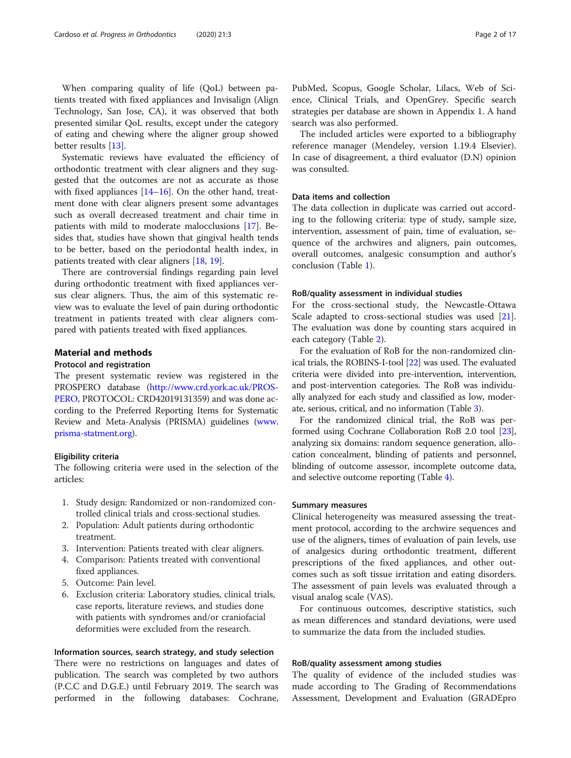Systematic reviews have evaluated the efficiency of orthodontic treatment with clear aligners and they suggested that the outcomes are not as accurate as those with fixed appliances [\[14](#page-15-0)–[16\]](#page-15-0). On the other hand, treatment done with clear aligners present some advantages such as overall decreased treatment and chair time in patients with mild to moderate malocclusions [\[17](#page-16-0)]. Besides that, studies have shown that gingival health tends to be better, based on the periodontal health index, in patients treated with clear aligners [[18,](#page-16-0) [19\]](#page-16-0).

There are controversial findings regarding pain level during orthodontic treatment with fixed appliances versus clear aligners. Thus, the aim of this systematic review was to evaluate the level of pain during orthodontic treatment in patients treated with clear aligners compared with patients treated with fixed appliances.

# Material and methods

#### Protocol and registration

The present systematic review was registered in the PROSPERO database [\(http://www.crd.york.ac.uk/PROS-](http://www.crd.york.ac.uk/PROSPERO)[PERO](http://www.crd.york.ac.uk/PROSPERO), PROTOCOL: CRD42019131359) and was done according to the Preferred Reporting Items for Systematic Review and Meta-Analysis (PRISMA) guidelines [\(www.](http://www.prisma-statment.org/) [prisma-statment.org\)](http://www.prisma-statment.org/).

# Eligibility criteria

The following criteria were used in the selection of the articles:

- 1. Study design: Randomized or non-randomized controlled clinical trials and cross-sectional studies.
- 2. Population: Adult patients during orthodontic treatment.
- 3. Intervention: Patients treated with clear aligners.
- 4. Comparison: Patients treated with conventional fixed appliances.
- 5. Outcome: Pain level.
- 6. Exclusion criteria: Laboratory studies, clinical trials, case reports, literature reviews, and studies done with patients with syndromes and/or craniofacial deformities were excluded from the research.

# Information sources, search strategy, and study selection

There were no restrictions on languages and dates of publication. The search was completed by two authors (P.C.C and D.G.E.) until February 2019. The search was performed in the following databases: Cochrane,

The included articles were exported to a bibliography reference manager (Mendeley, version 1.19.4 Elsevier). In case of disagreement, a third evaluator (D.N) opinion was consulted.

# Data items and collection

The data collection in duplicate was carried out according to the following criteria: type of study, sample size, intervention, assessment of pain, time of evaluation, sequence of the archwires and aligners, pain outcomes, overall outcomes, analgesic consumption and author's conclusion (Table [1\)](#page-2-0).

# RoB/quality assessment in individual studies

For the cross-sectional study, the Newcastle-Ottawa Scale adapted to cross-sectional studies was used [\[21](#page-16-0)]. The evaluation was done by counting stars acquired in each category (Table [2](#page-5-0)).

For the evaluation of RoB for the non-randomized clinical trials, the ROBINS-I-tool [[22](#page-16-0)] was used. The evaluated criteria were divided into pre-intervention, intervention, and post-intervention categories. The RoB was individually analyzed for each study and classified as low, moderate, serious, critical, and no information (Table [3](#page-5-0)).

For the randomized clinical trial, the RoB was performed using Cochrane Collaboration RoB 2.0 tool [[23](#page-16-0)], analyzing six domains: random sequence generation, allocation concealment, blinding of patients and personnel, blinding of outcome assessor, incomplete outcome data, and selective outcome reporting (Table [4\)](#page-6-0).

# Summary measures

Clinical heterogeneity was measured assessing the treatment protocol, according to the archwire sequences and use of the aligners, times of evaluation of pain levels, use of analgesics during orthodontic treatment, different prescriptions of the fixed appliances, and other outcomes such as soft tissue irritation and eating disorders. The assessment of pain levels was evaluated through a visual analog scale (VAS).

For continuous outcomes, descriptive statistics, such as mean differences and standard deviations, were used to summarize the data from the included studies.

# RoB/quality assessment among studies

The quality of evidence of the included studies was made according to The Grading of Recommendations Assessment, Development and Evaluation (GRADEpro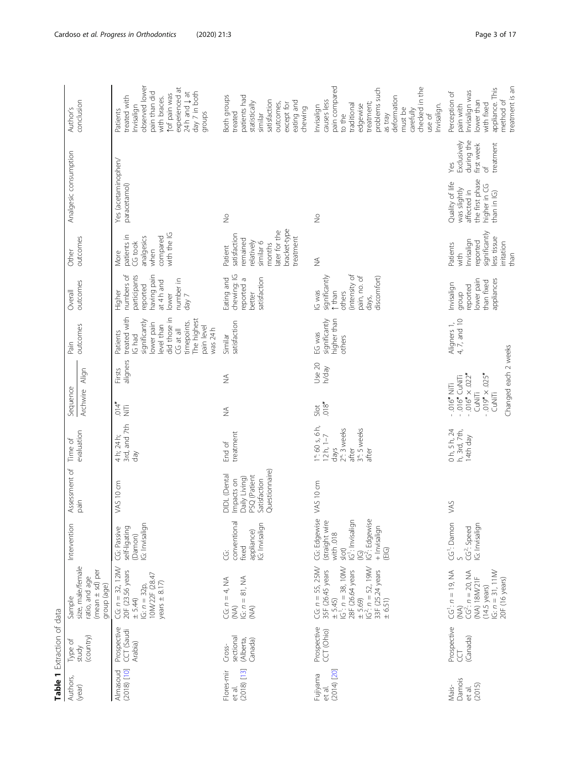<span id="page-2-0"></span>

|                                       | Table 1 Extraction of data                  |                                                                                                                                                                       |                                                                                                                                                |                                                                                                      |                                                                                                 |                                                                                                                                 |                              |                                                                                                                                                                    |                                                                                                              |                                                                                                                        |                                                                                                  |                                                                         |                                                                                                                                                                                                                      |
|---------------------------------------|---------------------------------------------|-----------------------------------------------------------------------------------------------------------------------------------------------------------------------|------------------------------------------------------------------------------------------------------------------------------------------------|------------------------------------------------------------------------------------------------------|-------------------------------------------------------------------------------------------------|---------------------------------------------------------------------------------------------------------------------------------|------------------------------|--------------------------------------------------------------------------------------------------------------------------------------------------------------------|--------------------------------------------------------------------------------------------------------------|------------------------------------------------------------------------------------------------------------------------|--------------------------------------------------------------------------------------------------|-------------------------------------------------------------------------|----------------------------------------------------------------------------------------------------------------------------------------------------------------------------------------------------------------------|
| Authors,<br>(year)                    | (country)<br>Type of<br>study               | size, male/female<br>$(mean ± sd)$ per<br>ratio, and age<br>group (age)<br>Sample                                                                                     | Intervention                                                                                                                                   | Assessment of<br>pain                                                                                | evaluation<br>Time of                                                                           | Archwire<br>Sequence                                                                                                            | Align                        | outcomes<br>Pain                                                                                                                                                   | outcomes<br>Overall                                                                                          | outcomes<br>Other                                                                                                      | Analgesic consumption                                                                            |                                                                         | conclusion<br>Author's                                                                                                                                                                                               |
| $(2018)$ $[10]$<br>Almasoud           | Prospective<br>CCT (Saudi<br>Arabia)        | $CG: n = 32, 12M/$<br>20F (23.56 years<br>10M/22F (28.47<br>years $\pm$ 8.17)<br>$IG: n = 32p$<br>$+ 5.44$                                                            | IG: Invisalign<br>self-ligating<br>CG: Passive<br>(Damon)                                                                                      | VAS 10 cm                                                                                            | 3rd, and 7th<br>4 h; 24 h;<br>day                                                               | 014"<br><b>IE</b>                                                                                                               | aligners<br>Firsts           | treated with<br>did those in<br>The highest<br>significantly<br>timepoints.<br>ower pain<br>level than<br>pain level<br>was 24h<br>CG at all<br>Patients<br>IG had | having pain<br>numbers of<br>participants<br>number in<br>at 4 h and<br>reported<br>Higher<br>lower<br>day 7 | with the IG<br>patients in<br>compared<br>analgesics<br>CG took<br>when<br>More                                        | Yes (acetaminophen/<br>paracetamol)                                                              |                                                                         | observed lower<br>experienced at<br>day 7 in both<br>24h and 1 at<br>pain than did<br>fof pain was<br>treated with<br>with braces.<br>Invisalign<br>Patients<br>groups                                               |
| $(2018)$ [13]<br>Flores-mir<br>et al. | sectional<br>(Alberta,<br>Canada)<br>Cross- | $G: n = 81, NA$<br>$CG: n = 4, NA$<br>$(\overline{MN})$<br>(NA)                                                                                                       | conventional<br>appliance)<br>IG: Invisalign<br>fixed<br>Ÿ                                                                                     | Questionnaire)<br><b>DIDL</b> (Dental<br>PSQ (Patient<br>Daily Living)<br>Satisfaction<br>Impacts on | treatment<br>End of                                                                             | $\lessgtr$                                                                                                                      | $\stackrel{\triangle}{\geq}$ | satisfaction<br>Similar                                                                                                                                            | chewing: IG<br>satisfaction<br>Eating and<br>reported a<br>better                                            | bracket-type<br>later for the<br>satisfaction<br>treatment<br>remained<br>relatively<br>similar 6<br>months<br>Patient | $\geq$                                                                                           |                                                                         | Both groups<br>patients had<br>satisfaction<br>eating and<br>statistically<br>outcomes,<br>except for<br>chewing<br>treated<br>similar                                                                               |
| (2014) [20]<br>Fujiyama<br>et al.     | Prospective<br>CCT (Ohio)                   | $\pm$ 5.45)<br>$ G^1: n = 38, 10M/$<br>$G^2: n = 52, 19M/$<br>$CG: n = 55, 25M/$<br>35F (26.45 years<br>28F (26.64 years<br>33F (25.24 years<br>$\pm$ 6.51)<br>± 5.69 | CG: Edgewise<br>IG <sup>2</sup> : Edgewise<br>IG1: Invisalign<br>(straight wire<br>+ Invisalign<br>(EIG)<br>with .018<br>slot)<br>$\mathbb{Q}$ | VAS 10 cm                                                                                            | $1^{\circ}$ : 60 s, 6 h,<br>2°: 3 weeks<br>3°: 5 weeks<br>$12 h, 1-7$<br>after<br>days<br>after | 018"<br>Slot                                                                                                                    | Use $20$<br>h/day            | significantly<br>higher than<br>EG was<br>others                                                                                                                   | (intensity of<br>significantly<br>pain, no. of<br>discomfort)<br>IG was<br>ned1<br>others<br>days,           | $\lessgtr$                                                                                                             | $\geq$                                                                                           |                                                                         | pain compared<br>problems such<br>checked in the<br>deformation<br>causes less<br>traditional<br>treatment;<br>edgewise<br>nvisalign<br>Invisalign.<br>must be<br>carefully<br>to the<br>Veil <sub>3</sub><br>use of |
| Damois<br>(2015)<br>Mais-<br>et al.   | Prospective<br>(Canada)<br>ā                | $CG: n = 19, NA$<br>$G: n = 31, 11M$<br>$CG^2: n = 20$ , NA<br>(NA) 18M/21F<br>20F (16 years)<br>$(14.5 \text{ years})$<br>$(\overline{N})$                           | CG <sup>1</sup> : Damon<br>IG: Invisalign<br>CG <sup>2</sup> : Speed                                                                           | VAS                                                                                                  | 0h, 5h, 24<br>h, 3rd, 7th,<br>14th day                                                          | Changed each 2 weeks<br>$0.19'' \times 0.025''$<br>$016'' \times 022''$<br>$-0.016''$ Niti<br>- 016" CuNITI<br>CuNiTi<br>CuNiTi |                              | Aligners 1,<br>4, 7, and 10                                                                                                                                        | lower pain<br>appliances<br>than fixed<br>Invisalign<br>reported<br>qroup                                    | significantly<br>less tissue<br>Invisalign<br>reported<br>irritation<br>Patients<br>than<br>with                       | the first phase<br>Quality of life<br>higher in CG<br>was slightly<br>affected in<br>than in IG) | during the<br>Exclusively<br>treatment<br>first week<br>Yes<br>$\sigma$ | treatment is an<br>appliance. This<br>Invisalign was<br>Perception of<br>method of<br>lower than<br>with fixed<br>pain with                                                                                          |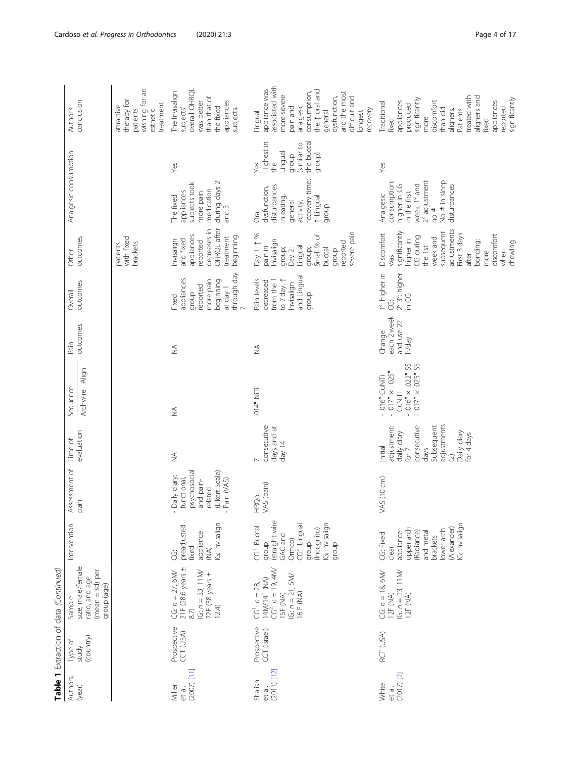| ē                                    | LAU du Julia                  | Adala (Chilininga)                                                                                          |                                                                                                                                                          |                                                                                                                       |                                                                                                                                              |                                                                                                                      |                                              |                                                                                                       |                                                                                                                                                                                                |                                                                                                                                              |                                                                                    |                                                                                                                                                                                                                |
|--------------------------------------|-------------------------------|-------------------------------------------------------------------------------------------------------------|----------------------------------------------------------------------------------------------------------------------------------------------------------|-----------------------------------------------------------------------------------------------------------------------|----------------------------------------------------------------------------------------------------------------------------------------------|----------------------------------------------------------------------------------------------------------------------|----------------------------------------------|-------------------------------------------------------------------------------------------------------|------------------------------------------------------------------------------------------------------------------------------------------------------------------------------------------------|----------------------------------------------------------------------------------------------------------------------------------------------|------------------------------------------------------------------------------------|----------------------------------------------------------------------------------------------------------------------------------------------------------------------------------------------------------------|
| Authors,<br>(year)                   | (country)<br>Type of<br>study | size, male/female<br>$(mean \pm sd)$ per<br>ratio, and age<br>group (age)<br>Sample                         | Intervention                                                                                                                                             | Assessment of<br>pain                                                                                                 | evaluation<br>Time of                                                                                                                        | Archwire Align<br>Sequence                                                                                           | outcomes<br>Pain                             | outcomes<br>Overall                                                                                   | outcomes<br>Other                                                                                                                                                                              | Analgesic consumption                                                                                                                        |                                                                                    | conclusion<br>Author's                                                                                                                                                                                         |
|                                      |                               |                                                                                                             |                                                                                                                                                          |                                                                                                                       |                                                                                                                                              |                                                                                                                      |                                              |                                                                                                       | with fixed<br>brackets<br>patients                                                                                                                                                             |                                                                                                                                              |                                                                                    | wishing for an<br>therapy for<br>treatment.<br>attractive<br>patients<br>esthetic                                                                                                                              |
| $(2007)$ [11]<br>Miller<br>et al.    | Prospective<br>CCT (USA)      | 21F (28.6 years $\pm$<br>$IG: n = 33, 11M$<br>$CG: n = 27, 6M$<br>22F (38 years $\pm$<br>12.4<br>$\odot$    | G: Invisalign<br>preadjusted<br>appliance<br>fixed<br>$\bigotimes$<br>Ÿ                                                                                  | psychosocial<br>(Likert Scale)<br>- Daily diary:<br>functional,<br>Pain (VAS)<br>and pain-<br>related<br>$\mathbf{1}$ | $\lessgtr$                                                                                                                                   | $\lessgtr$                                                                                                           | ₹                                            | through day<br>appliances<br>more pain<br>beginning<br>reported<br>at day 1<br>qroup<br>Fixed         | OHRQL after<br>decreases in<br>appliances<br>treatment<br>beginning<br>and fixed<br>nvisalign<br>reported                                                                                      | during days 2<br>subjects took<br>medication<br>appliances<br>more pain<br>The fixed<br>and 3                                                | Yes                                                                                | The Invisalign<br>overall OHRQL<br>than that of<br>was better<br>appliances<br>subjects'<br>the fixed<br>subjects.                                                                                             |
| $(2011)$ $[12]$<br>Shalish<br>et al. | Prospective<br>CCT (Israel)   | $CG^2: n = 19, 4M$<br>IG: $n = 21,5M$<br>14M/14F (NA)<br>$CG1: n = 28,$<br>16 F (NA)<br>ISF <sub>(NA)</sub> | (straight wire<br>IG: Invisalign<br>CG <sup>2</sup> : Lingual<br>CG <sup>1</sup> : Buccal<br>(Incognito)<br>GAC and<br>Ormco)<br>qroup<br>qroup<br>group | VAS (pain)<br><b>HRQoL</b>                                                                                            | consecutive<br>days and at<br>day $14$                                                                                                       | 014" NiTi                                                                                                            | ≸                                            | and Lingual<br>Pain levels<br>from the 1<br>decreased<br>to $7$ day. $\uparrow$<br>nvisalign<br>qroup | severe pain<br>Small % of<br>Day 1:1 %<br>Invisalign<br>eported<br>pain in<br>Lingual<br>buccal<br>group;<br>Day 2:<br>group;<br>qroup                                                         | recovery time:<br>disturbances<br>dysfunction,<br>in eating,<br>fungual<br>general<br>activity,<br>group<br><b>Oral</b>                      | the buccal<br>Highest in<br>similar to<br>Lingual<br>group)<br>group<br>the<br>Yes | associated with<br>appliance was<br>the 1 oral and<br>consumption,<br>and the most<br>more severe<br>dysfunction,<br>difficult and<br>analgesic<br>pain and<br>recovery<br>longest<br>general<br>Lingual       |
| $(2017)$ [2]<br>White<br>et al.      | RCT (USA)                     | $IG: n = 23, 11M$<br>$CG: n = 18, 6M$<br>12F (NA)<br>12F (NA)                                               | G: Invisalign<br>(Alexander)<br>upper arch<br>lower arch<br>(Radiance)<br>appliance<br>and metal<br>CG: Fixed<br>brackets<br>clear                       | VAS (10 cm)                                                                                                           | adjustments<br>Subsequent<br>consecutive<br>adjustment:<br>Daily diary<br>daily diary<br>for 4 days<br>Initial<br>days<br>for 7<br>$\hat{O}$ | $-0.016'' \times 0.022''$ SS<br>$-0.017'' \times 0.025''$ SS<br>$-0.017'' \times 0.025''$<br>$-016"$ CuNIT<br>CuNiTi | each 2 week<br>and use 22<br>Change<br>h/day | 1°: higher in<br>$2^{\circ}$ $3^{\circ}$ : higher<br>in CG<br>ÿ                                       | adjustments<br>subsequent<br>significantly<br>Discomfort<br>First 3 days<br>discomfort<br>CG during<br>week and<br>nigher in<br>bonding:<br>chewing<br>the 1st<br>when<br>more<br>after<br>yas | 2° adjustment<br>No # in sleep<br>consumption:<br>higher in CG<br>week; 1° and<br>disturbances<br>in the first<br>Analgesic<br>$\frac{1}{2}$ | Yes                                                                                | treated with<br>aligners and<br>significantly<br>significantly<br>discomfort<br>appliances<br>appliances<br>Traditional<br>produced<br>reported<br>than did<br>aligners.<br>Patients<br>more<br>fixed<br>fixed |

Table 1 Extraction of data (Continued) **Table 1** Extraction of data (Continued)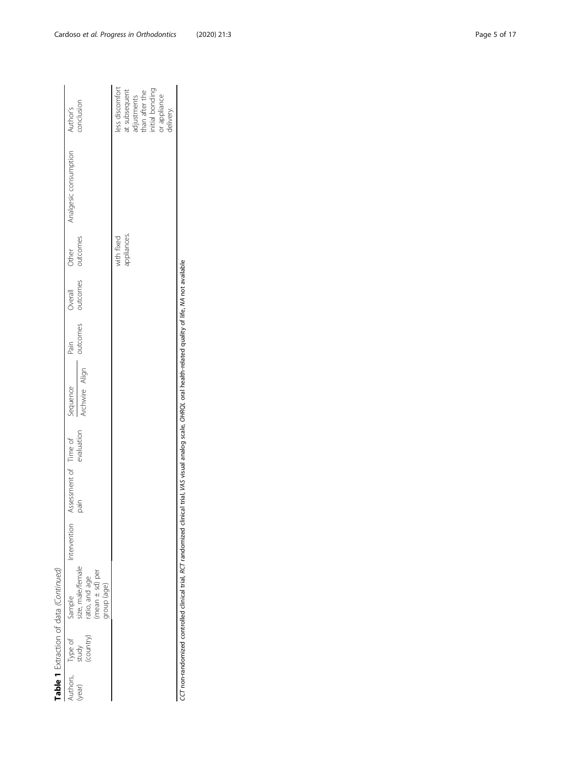|                                               | Table 1 Extraction of data (Continued)                                          |              |                               |            |                            |                  |                     |                           |                       |                                                                   |
|-----------------------------------------------|---------------------------------------------------------------------------------|--------------|-------------------------------|------------|----------------------------|------------------|---------------------|---------------------------|-----------------------|-------------------------------------------------------------------|
| Authors, Type of<br>(year) study<br>(country) | Sample<br>size, male/female<br>ratio, and age<br>(mean ± sd) per<br>group (age) | Intervention | Assessment of Time of<br>pain | evaluation | Archwire Align<br>Sequence | outcomes<br>Pain | outcomes<br>Overall | outcomes<br><b>Other</b>  | Analgesic consumption | Author's<br>conclusion                                            |
|                                               |                                                                                 |              |                               |            |                            |                  |                     |                           |                       | ess discomfort                                                    |
|                                               |                                                                                 |              |                               |            |                            |                  |                     | with fixed<br>appliances. |                       |                                                                   |
|                                               |                                                                                 |              |                               |            |                            |                  |                     |                           |                       |                                                                   |
|                                               |                                                                                 |              |                               |            |                            |                  |                     |                           |                       | at subsequent<br>adjustments<br>than after the<br>initial bonding |
|                                               |                                                                                 |              |                               |            |                            |                  |                     |                           |                       | or appliance                                                      |
|                                               |                                                                                 |              |                               |            |                            |                  |                     |                           |                       | delivery.                                                         |

CCT non-randomized controlled clinical trial, RCT randomized clinical trial, VAS visual analog scale, OHRQL oral health-related quality of life, MA not available CCT non-randomized controlled clinical trial, RCT randomized clinical trial, VAS visual analog scale, OHRQL oral health-related quality of life, NA not available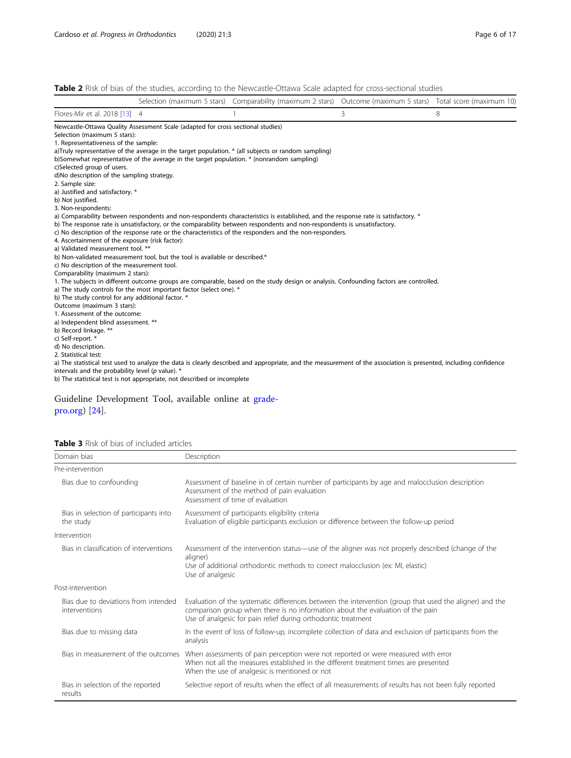<span id="page-5-0"></span>Table 2 Risk of bias of the studies, according to the Newcastle-Ottawa Scale adapted for cross-sectional studies

|                                                       |                                                                                           | Selection (maximum 5 stars) Comparability (maximum 2 stars) Outcome (maximum 5 stars) Total score (maximum 10)                                                                                                                     |   |   |
|-------------------------------------------------------|-------------------------------------------------------------------------------------------|------------------------------------------------------------------------------------------------------------------------------------------------------------------------------------------------------------------------------------|---|---|
| Flores-Mir et al. 2018 [13] 4                         |                                                                                           |                                                                                                                                                                                                                                    | 3 | 8 |
|                                                       | Newcastle-Ottawa Quality Assessment Scale (adapted for cross sectional studies)           |                                                                                                                                                                                                                                    |   |   |
| Selection (maximum 5 stars):                          |                                                                                           |                                                                                                                                                                                                                                    |   |   |
| 1. Representativeness of the sample:                  |                                                                                           |                                                                                                                                                                                                                                    |   |   |
|                                                       |                                                                                           | a)Truly representative of the average in the target population. * (all subjects or random sampling)                                                                                                                                |   |   |
|                                                       | b)Somewhat representative of the average in the target population. * (nonrandom sampling) |                                                                                                                                                                                                                                    |   |   |
| c)Selected group of users.                            |                                                                                           |                                                                                                                                                                                                                                    |   |   |
| d)No description of the sampling strategy.            |                                                                                           |                                                                                                                                                                                                                                    |   |   |
| 2. Sample size:                                       |                                                                                           |                                                                                                                                                                                                                                    |   |   |
| a) Justified and satisfactory. *                      |                                                                                           |                                                                                                                                                                                                                                    |   |   |
| b) Not justified.                                     |                                                                                           |                                                                                                                                                                                                                                    |   |   |
| 3. Non-respondents:                                   |                                                                                           |                                                                                                                                                                                                                                    |   |   |
|                                                       |                                                                                           | a) Comparability between respondents and non-respondents characteristics is established, and the response rate is satisfactory. *                                                                                                  |   |   |
|                                                       |                                                                                           | b) The response rate is unsatisfactory, or the comparability between respondents and non-respondents is unsatisfactory.<br>c) No description of the response rate or the characteristics of the responders and the non-responders. |   |   |
| 4. Ascertainment of the exposure (risk factor):       |                                                                                           |                                                                                                                                                                                                                                    |   |   |
| a) Validated measurement tool. **                     |                                                                                           |                                                                                                                                                                                                                                    |   |   |
|                                                       | b) Non-validated measurement tool, but the tool is available or described.*               |                                                                                                                                                                                                                                    |   |   |
| c) No description of the measurement tool.            |                                                                                           |                                                                                                                                                                                                                                    |   |   |
| Comparability (maximum 2 stars):                      |                                                                                           |                                                                                                                                                                                                                                    |   |   |
|                                                       |                                                                                           | 1. The subjects in different outcome groups are comparable, based on the study design or analysis. Confounding factors are controlled.                                                                                             |   |   |
|                                                       | a) The study controls for the most important factor (select one). *                       |                                                                                                                                                                                                                                    |   |   |
| b) The study control for any additional factor. *     |                                                                                           |                                                                                                                                                                                                                                    |   |   |
| Outcome (maximum 3 stars):                            |                                                                                           |                                                                                                                                                                                                                                    |   |   |
| 1. Assessment of the outcome:                         |                                                                                           |                                                                                                                                                                                                                                    |   |   |
| a) Independent blind assessment. **                   |                                                                                           |                                                                                                                                                                                                                                    |   |   |
| b) Record linkage. **                                 |                                                                                           |                                                                                                                                                                                                                                    |   |   |
| c) Self-report. *                                     |                                                                                           |                                                                                                                                                                                                                                    |   |   |
| d) No description.                                    |                                                                                           |                                                                                                                                                                                                                                    |   |   |
| 2. Statistical test:                                  |                                                                                           |                                                                                                                                                                                                                                    |   |   |
|                                                       |                                                                                           | a) The statistical test used to analyze the data is clearly described and appropriate, and the measurement of the association is presented, including confidence                                                                   |   |   |
| intervals and the probability level ( $p$ value). $*$ |                                                                                           |                                                                                                                                                                                                                                    |   |   |
|                                                       | b) The statistical test is not appropriate, not described or incomplete                   |                                                                                                                                                                                                                                    |   |   |
|                                                       |                                                                                           |                                                                                                                                                                                                                                    |   |   |

# Guideline Development Tool, available online at [grade](http://gradepro.org)[pro.org](http://gradepro.org)) [[24](#page-16-0)].

| Table 3 Risk of bias of included articles |
|-------------------------------------------|
|-------------------------------------------|

| Domain bias                                           | Description                                                                                                                                                                                                                                                    |
|-------------------------------------------------------|----------------------------------------------------------------------------------------------------------------------------------------------------------------------------------------------------------------------------------------------------------------|
| Pre-intervention                                      |                                                                                                                                                                                                                                                                |
| Bias due to confounding                               | Assessment of baseline in of certain number of participants by age and malocclusion description<br>Assessment of the method of pain evaluation<br>Assessment of time of evaluation                                                                             |
| Bias in selection of participants into<br>the study   | Assessment of participants eligibility criteria<br>Evaluation of eligible participants exclusion or difference between the follow-up period                                                                                                                    |
| Intervention                                          |                                                                                                                                                                                                                                                                |
| Bias in classification of interventions               | Assessment of the intervention status—use of the aligner was not properly described (change of the<br>aligner)<br>Use of additional orthodontic methods to correct malocclusion (ex: MI, elastic)<br>Use of analgesic                                          |
| Post-intervention                                     |                                                                                                                                                                                                                                                                |
| Bias due to deviations from intended<br>interventions | Evaluation of the systematic differences between the intervention (group that used the aligner) and the<br>comparison group when there is no information about the evaluation of the pain<br>Use of analgesic for pain relief during orthodontic treatment     |
| Bias due to missing data                              | In the event of loss of follow-up, incomplete collection of data and exclusion of participants from the<br>analysis                                                                                                                                            |
|                                                       | Bias in measurement of the outcomes When assessments of pain perception were not reported or were measured with error<br>When not all the measures established in the different treatment times are presented<br>When the use of analgesic is mentioned or not |
| Bias in selection of the reported<br>results          | Selective report of results when the effect of all measurements of results has not been fully reported                                                                                                                                                         |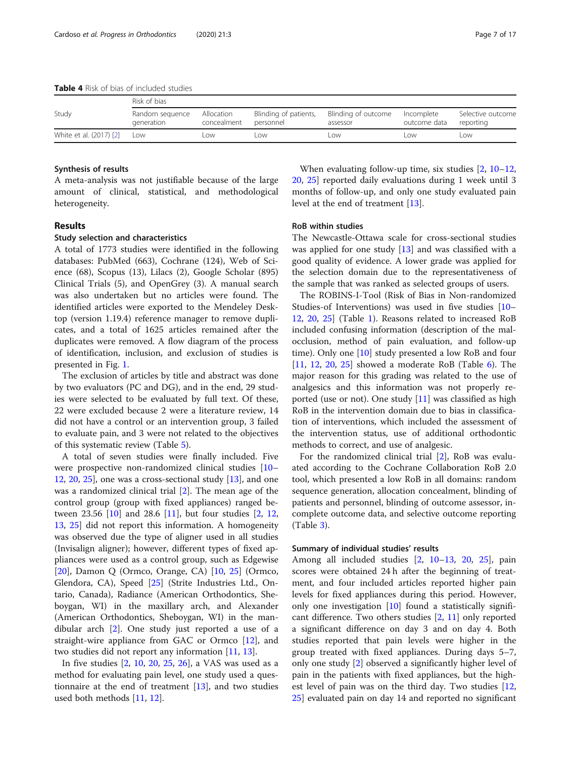<span id="page-6-0"></span>

|                         | Risk of bias                  |                           |                                    |                                 |                            |                                |
|-------------------------|-------------------------------|---------------------------|------------------------------------|---------------------------------|----------------------------|--------------------------------|
| Study                   | Random sequence<br>generation | Allocation<br>concealment | Blinding of patients,<br>personnel | Blinding of outcome<br>assessor | Incomplete<br>outcome data | Selective outcome<br>reporting |
| White et al. (2017) [2] | <b>OW</b>                     | LOW                       | LOW                                | Low                             | LOW                        | Low                            |

# Synthesis of results

A meta-analysis was not justifiable because of the large amount of clinical, statistical, and methodological heterogeneity.

# Results

# Study selection and characteristics

A total of 1773 studies were identified in the following databases: PubMed (663), Cochrane (124), Web of Science (68), Scopus (13), Lilacs (2), Google Scholar (895) Clinical Trials (5), and OpenGrey (3). A manual search was also undertaken but no articles were found. The identified articles were exported to the Mendeley Desktop (version 1.19.4) reference manager to remove duplicates, and a total of 1625 articles remained after the duplicates were removed. A flow diagram of the process of identification, inclusion, and exclusion of studies is presented in Fig. [1.](#page-7-0)

The exclusion of articles by title and abstract was done by two evaluators (PC and DG), and in the end, 29 studies were selected to be evaluated by full text. Of these, 22 were excluded because 2 were a literature review, 14 did not have a control or an intervention group, 3 failed to evaluate pain, and 3 were not related to the objectives of this systematic review (Table [5\)](#page-8-0).

A total of seven studies were finally included. Five were prospective non-randomized clinical studies [[10](#page-15-0)– [12,](#page-15-0) [20](#page-16-0), [25](#page-16-0)], one was a cross-sectional study [\[13](#page-15-0)], and one was a randomized clinical trial [\[2](#page-15-0)]. The mean age of the control group (group with fixed appliances) ranged between 23.56 [[10\]](#page-15-0) and 28.6 [\[11](#page-15-0)], but four studies [\[2](#page-15-0), [12](#page-15-0), [13,](#page-15-0) [25](#page-16-0)] did not report this information. A homogeneity was observed due the type of aligner used in all studies (Invisalign aligner); however, different types of fixed appliances were used as a control group, such as Edgewise [[20\]](#page-16-0), Damon Q (Ormco, Orange, CA) [\[10](#page-15-0), [25](#page-16-0)] (Ormco, Glendora, CA), Speed [[25](#page-16-0)] (Strite Industries Ltd., Ontario, Canada), Radiance (American Orthodontics, Sheboygan, WI) in the maxillary arch, and Alexander (American Orthodontics, Sheboygan, WI) in the mandibular arch [\[2](#page-15-0)]. One study just reported a use of a straight-wire appliance from GAC or Ormco [[12\]](#page-15-0), and two studies did not report any information [\[11](#page-15-0), [13](#page-15-0)].

In five studies [\[2](#page-15-0), [10](#page-15-0), [20,](#page-16-0) [25](#page-16-0), [26\]](#page-16-0), a VAS was used as a method for evaluating pain level, one study used a questionnaire at the end of treatment  $[13]$  $[13]$ , and two studies used both methods [\[11](#page-15-0), [12\]](#page-15-0).

When evaluating follow-up time, six studies [[2,](#page-15-0) [10](#page-15-0)–[12](#page-15-0), [20,](#page-16-0) [25](#page-16-0)] reported daily evaluations during 1 week until 3 months of follow-up, and only one study evaluated pain level at the end of treatment [\[13](#page-15-0)].

# RoB within studies

The Newcastle-Ottawa scale for cross-sectional studies was applied for one study [[13\]](#page-15-0) and was classified with a good quality of evidence. A lower grade was applied for the selection domain due to the representativeness of the sample that was ranked as selected groups of users.

The ROBINS-I-Tool (Risk of Bias in Non-randomized Studies-of Interventions) was used in five studies [[10](#page-15-0)– [12,](#page-15-0) [20,](#page-16-0) [25\]](#page-16-0) (Table [1\)](#page-2-0). Reasons related to increased RoB included confusing information (description of the malocclusion, method of pain evaluation, and follow-up time). Only one [\[10](#page-15-0)] study presented a low RoB and four [[11,](#page-15-0) [12,](#page-15-0) [20](#page-16-0), [25](#page-16-0)] showed a moderate RoB (Table [6](#page-8-0)). The major reason for this grading was related to the use of analgesics and this information was not properly reported (use or not). One study [\[11](#page-15-0)] was classified as high RoB in the intervention domain due to bias in classification of interventions, which included the assessment of the intervention status, use of additional orthodontic methods to correct, and use of analgesic.

For the randomized clinical trial [\[2](#page-15-0)], RoB was evaluated according to the Cochrane Collaboration RoB 2.0 tool, which presented a low RoB in all domains: random sequence generation, allocation concealment, blinding of patients and personnel, blinding of outcome assessor, incomplete outcome data, and selective outcome reporting (Table [3\)](#page-5-0).

# Summary of individual studies' results

Among all included studies [\[2,](#page-15-0) [10](#page-15-0)–[13,](#page-15-0) [20,](#page-16-0) [25\]](#page-16-0), pain scores were obtained 24 h after the beginning of treatment, and four included articles reported higher pain levels for fixed appliances during this period. However, only one investigation [[10\]](#page-15-0) found a statistically significant difference. Two others studies [\[2](#page-15-0), [11](#page-15-0)] only reported a significant difference on day 3 and on day 4. Both studies reported that pain levels were higher in the group treated with fixed appliances. During days 5–7, only one study [\[2\]](#page-15-0) observed a significantly higher level of pain in the patients with fixed appliances, but the highest level of pain was on the third day. Two studies [[12](#page-15-0), [25\]](#page-16-0) evaluated pain on day 14 and reported no significant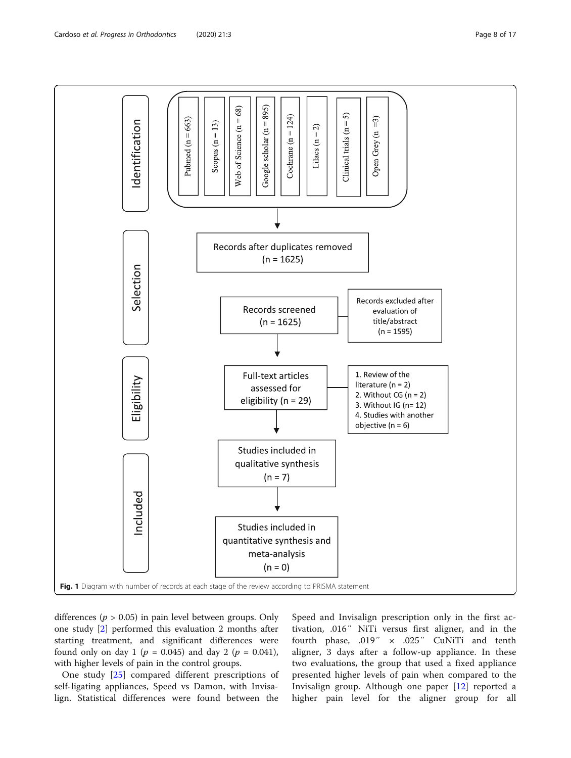<span id="page-7-0"></span>

differences ( $p > 0.05$ ) in pain level between groups. Only one study [[2\]](#page-15-0) performed this evaluation 2 months after starting treatment, and significant differences were found only on day 1 ( $p = 0.045$ ) and day 2 ( $p = 0.041$ ), with higher levels of pain in the control groups.

One study [\[25](#page-16-0)] compared different prescriptions of self-ligating appliances, Speed vs Damon, with Invisalign. Statistical differences were found between the Speed and Invisalign prescription only in the first activation, .016″ NiTi versus first aligner, and in the fourth phase, .019″ × .025″ CuNiTi and tenth aligner, 3 days after a follow-up appliance. In these two evaluations, the group that used a fixed appliance presented higher levels of pain when compared to the Invisalign group. Although one paper [[12\]](#page-15-0) reported a higher pain level for the aligner group for all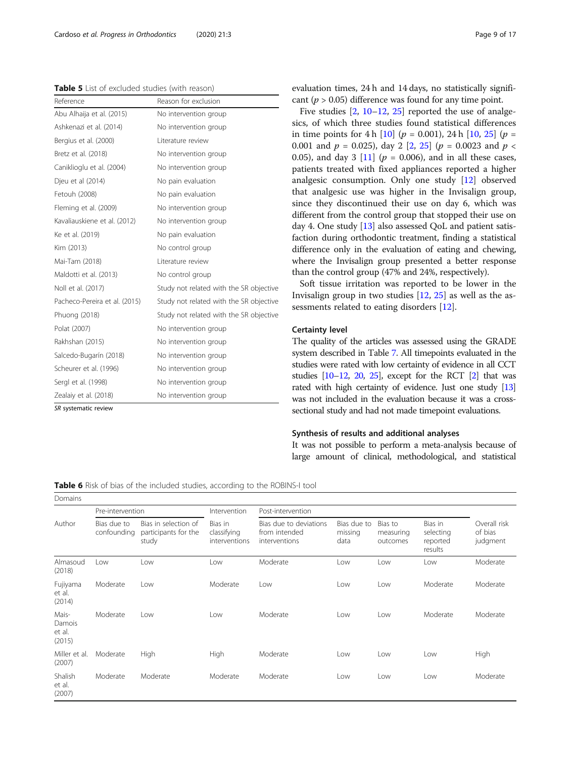<span id="page-8-0"></span>Table 5 List of excluded studies (with reason)

| Reference                     | Reason for exclusion                    |
|-------------------------------|-----------------------------------------|
| Abu Alhaija et al. (2015)     | No intervention group                   |
| Ashkenazi et al. (2014)       | No intervention group                   |
| Bergius et al. (2000)         | Literature review                       |
| Bretz et al. (2018)           | No intervention group                   |
| Caniklioglu et al. (2004)     | No intervention group                   |
| Djeu et al (2014)             | No pain evaluation                      |
| Fetouh (2008)                 | No pain evaluation                      |
| Fleming et al. (2009)         | No intervention group                   |
| Kavaliauskiene et al. (2012)  | No intervention group                   |
| Ke et al. (2019)              | No pain evaluation                      |
| Kim (2013)                    | No control group                        |
| Mai-Tam (2018)                | Literature review                       |
| Maldotti et al. (2013)        | No control group                        |
| Noll et al. (2017)            | Study not related with the SR objective |
| Pacheco-Pereira et al. (2015) | Study not related with the SR objective |
| Phuong (2018)                 | Study not related with the SR objective |
| Polat (2007)                  | No intervention group                   |
| Rakhshan (2015)               | No intervention group                   |
| Salcedo-Bugarín (2018)        | No intervention group                   |
| Scheurer et al. (1996)        | No intervention group                   |
| Sergl et al. (1998)           | No intervention group                   |
| Zealaiy et al. (2018)         | No intervention group                   |

SR systematic review

Domains

evaluation times, 24 h and 14 days, no statistically significant ( $p > 0.05$ ) difference was found for any time point.

Five studies  $[2, 10-12, 25]$  $[2, 10-12, 25]$  $[2, 10-12, 25]$  $[2, 10-12, 25]$  $[2, 10-12, 25]$  $[2, 10-12, 25]$  $[2, 10-12, 25]$  $[2, 10-12, 25]$  $[2, 10-12, 25]$  reported the use of analgesics, of which three studies found statistical differences in time points for 4 h  $[10]$  $[10]$  ( $p = 0.001$ ), 24 h  $[10, 25]$  $[10, 25]$  $[10, 25]$  $[10, 25]$  ( $p =$ 0.001 and  $p = 0.025$  $p = 0.025$ , day 2 [[2,](#page-15-0) 25] ( $p = 0.0023$  and  $p <$ 0.05), and day 3 [[11\]](#page-15-0) ( $p = 0.006$ ), and in all these cases, patients treated with fixed appliances reported a higher analgesic consumption. Only one study [\[12\]](#page-15-0) observed that analgesic use was higher in the Invisalign group, since they discontinued their use on day 6, which was different from the control group that stopped their use on day 4. One study [[13](#page-15-0)] also assessed QoL and patient satisfaction during orthodontic treatment, finding a statistical difference only in the evaluation of eating and chewing, where the Invisalign group presented a better response than the control group (47% and 24%, respectively).

Soft tissue irritation was reported to be lower in the Invisalign group in two studies  $[12, 25]$  $[12, 25]$  $[12, 25]$  $[12, 25]$  as well as the assessments related to eating disorders [\[12](#page-15-0)].

# Certainty level

The quality of the articles was assessed using the GRADE system described in Table [7](#page-9-0). All timepoints evaluated in the studies were rated with low certainty of evidence in all CCT studies  $[10-12, 20, 25]$  $[10-12, 20, 25]$  $[10-12, 20, 25]$  $[10-12, 20, 25]$  $[10-12, 20, 25]$  $[10-12, 20, 25]$  $[10-12, 20, 25]$  $[10-12, 20, 25]$ , except for the RCT  $[2]$  that was rated with high certainty of evidence. Just one study [\[13](#page-15-0)] was not included in the evaluation because it was a crosssectional study and had not made timepoint evaluations.

# Synthesis of results and additional analyses

It was not possible to perform a meta-analysis because of large amount of clinical, methodological, and statistical

Table 6 Risk of bias of the included studies, according to the ROBINS-I tool

| <b>DONIGINS</b>                     |                            |                                                       |                                         |                                                          |                                |                                  |                                             |                                     |
|-------------------------------------|----------------------------|-------------------------------------------------------|-----------------------------------------|----------------------------------------------------------|--------------------------------|----------------------------------|---------------------------------------------|-------------------------------------|
|                                     | Pre-intervention           |                                                       | Intervention                            | Post-intervention                                        |                                |                                  |                                             |                                     |
| Author                              | Bias due to<br>confounding | Bias in selection of<br>participants for the<br>study | Bias in<br>classifying<br>interventions | Bias due to deviations<br>from intended<br>interventions | Bias due to<br>missing<br>data | Bias to<br>measuring<br>outcomes | Bias in<br>selecting<br>reported<br>results | Overall risk<br>of bias<br>judgment |
| Almasoud<br>(2018)                  | Low                        | Low                                                   | Low                                     | Moderate                                                 | Low                            | Low                              | Low                                         | Moderate                            |
| Fujiyama<br>et al.<br>(2014)        | Moderate                   | Low                                                   | Moderate                                | Low                                                      | Low                            | Low                              | Moderate                                    | Moderate                            |
| Mais-<br>Damois<br>et al.<br>(2015) | Moderate                   | Low                                                   | Low                                     | Moderate                                                 | Low                            | Low                              | Moderate                                    | Moderate                            |
| Miller et al.<br>(2007)             | Moderate                   | High                                                  | High                                    | Moderate                                                 | Low                            | Low                              | Low                                         | High                                |
| Shalish<br>et al.<br>(2007)         | Moderate                   | Moderate                                              | Moderate                                | Moderate                                                 | Low                            | Low                              | Low                                         | Moderate                            |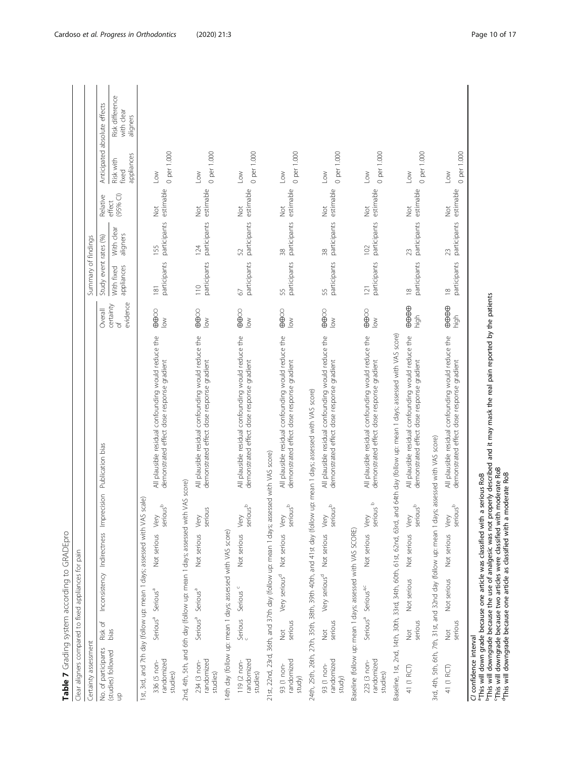| Table 7 Grading system according to GRADEpro<br>Clear aligners compared to fixed appliances for pain              |                          |                                           |                                            |                              |                                                                                                               |                                   |                                |                        |                            |                                  |                                           |
|-------------------------------------------------------------------------------------------------------------------|--------------------------|-------------------------------------------|--------------------------------------------|------------------------------|---------------------------------------------------------------------------------------------------------------|-----------------------------------|--------------------------------|------------------------|----------------------------|----------------------------------|-------------------------------------------|
| Certainty assessment                                                                                              |                          |                                           |                                            |                              |                                                                                                               |                                   | Summary of findings            |                        |                            |                                  |                                           |
| No. of participants                                                                                               | Risk of                  |                                           |                                            |                              | Inconsistency Indirectness Imprecision Publication bias                                                       | Overall                           | Study event rates (%)          |                        | Relative                   | Anticipated absolute effects     |                                           |
| (studies) followed<br>$\frac{1}{2}$                                                                               | bias                     |                                           |                                            |                              |                                                                                                               | evidence<br>certainty<br>$\sigma$ | appliances<br>With fixed       | With clear<br>aligners | $(95%$ Cl)<br>effect       | appliances<br>Risk with<br>fixed | Risk difference<br>with clear<br>aligners |
| 1st, 3rd, and 7th day (follow up: mean 1 days; assessed with VAS scale)                                           |                          |                                           |                                            |                              |                                                                                                               |                                   |                                |                        |                            |                                  |                                           |
| randomized<br>336 (5 non-<br>studies)                                                                             | Serious <sup>a</sup>     | Serious <sup>a</sup>                      | Not serious                                | seriousb<br>Very             | All plausible residual confounding would reduce the<br>demonstrated effect dose response gradient             | $\oplus \oplus$<br>$\geq$         | participants<br>181            | participants<br>155    | estimable<br>$\frac{1}{2}$ | 0 per 1.000<br>$\geq$            |                                           |
| 2nd, 4th, 5th, and 6th day (follow up: mean 1 days; assessed with VAS score)                                      |                          |                                           |                                            |                              |                                                                                                               |                                   |                                |                        |                            |                                  |                                           |
| randomized<br>234 (3 non-<br>studies)                                                                             |                          | Serious <sup>a</sup> Serious <sup>a</sup> | Not serious                                | serious<br>Very              | All plausible residual confounding would reduce the<br>demonstrated effect dose response gradient             | $\oplus$<br>$\geq$                | participants<br>$\frac{1}{10}$ | participants<br>124    | estimable<br>ğ             | 0 per 1.000<br>$\leq$            |                                           |
| 14th day (follow up: mean 1 days; assessed with VAS score)                                                        |                          |                                           |                                            |                              |                                                                                                               |                                   |                                |                        |                            |                                  |                                           |
| randomized<br>119 (2 non-<br>studies)                                                                             | Serious                  | Serious <sup>c</sup>                      | Not serious                                | serious <sup>b</sup><br>Very | All plausible residual confounding would reduce the<br>demonstrated effect dose response gradient             | $\oplus$<br>$\geq$                | participants<br>$\odot$        | participants<br>52     | estimable<br>$\frac{1}{2}$ | 0 per 1.000<br>$\geq$            |                                           |
| 21st, 22nd, 23rd, 36th, and 37th day (follow up: mean 1 days; assessed with VAS score)                            |                          |                                           |                                            |                              |                                                                                                               |                                   |                                |                        |                            |                                  |                                           |
| randomized<br>93 (1 non-<br>study)                                                                                | serious<br>ğ             |                                           | Very serious <sup>d</sup> Not serious Very | serious <sup>b</sup>         | All plausible residual confounding would reduce the<br>demonstrated effect dose response gradient             | $\oplus \oplus \infty$<br>$\geq$  | participants<br>55             | participants<br>38     | estimable<br>Not           | 0 per 1.000<br>$\geq$            |                                           |
|                                                                                                                   |                          |                                           |                                            |                              | 24th, 25th, 26th, 27th, 35th, 39th, 39th 40th, and 41st day (follow up: mean 1 days; assessed with VAS score) |                                   |                                |                        |                            |                                  |                                           |
| randomized<br>93 (1 non-<br>study)                                                                                | serious<br>$\frac{1}{2}$ |                                           | Very serious <sup>d</sup> Not serious Very | serious <sup>b</sup>         | All plausible residual confounding would reduce the<br>demonstrated effect dose response gradient             | $\oplus$<br>$\geq$                | participants<br>55             | participants<br>38     | estimable<br><b>S</b>      | 0 per 1.000<br>$\sim$            |                                           |
| Baseline (follow up: mean 1 days; assessed with VAS SCORE)                                                        |                          |                                           |                                            |                              |                                                                                                               |                                   |                                |                        |                            |                                  |                                           |
| randomized<br>223 (3 non-<br>studies)                                                                             | Serious <sup>a</sup>     | Serious <sup>a,c</sup>                    | Not serious Very                           | $\Omega$<br>serious          | All plausible residual confounding would reduce the<br>demonstrated effect dose response gradient             | $\oplus$<br>$\geq$                | participants<br>121            | participants<br>102    | estimable<br>$\frac{1}{2}$ | 0 per 1.000<br>$\sqrt{ }$        |                                           |
| Baseline, 1st, 2nd, 14th, 30th, 33rd, 34th, 60th, 61st, 62nd, 63rd, and                                           |                          |                                           |                                            |                              | 64th day (follow up: mean 1 days; assessed with VAS score)                                                    |                                   |                                |                        |                            |                                  |                                           |
| 41 (1 RCT)                                                                                                        | serious<br>70K           | Not serious                               | Not serious Very                           | serious <sup>b</sup>         | All plausible residual confounding would reduce the<br>demonstrated effect dose response gradient             | $\oplus \oplus \oplus$<br>high    | participants<br>$\frac{8}{1}$  | participants<br>23     | estimable<br>Not           | 0 per 1.000<br>$\sim$            |                                           |
|                                                                                                                   |                          |                                           |                                            |                              | 3rd, 4th, 5th, 6th, 7th, 31st, and 32nd day (follow up: mean 1 days; assessed with VAS score)                 |                                   |                                |                        |                            |                                  |                                           |
| 41 (1 RCT)                                                                                                        | serious<br>$\frac{1}{2}$ | Not serious                               | Not serious                                | serious <sup>b</sup><br>Very | All plausible residual confounding would reduce the<br>demonstrated effect dose response gradient             | $\oplus \oplus \oplus$<br>high    | participants<br>$\approx$      | participants<br>23     | estimable<br><b>Not</b>    | 0 per 1.000<br>$_{\sim}$         |                                           |
| <sup>a</sup> This will down grade because one article was classified with a serious RoB<br>CI confidence interval |                          |                                           |                                            |                              |                                                                                                               |                                   |                                |                        |                            |                                  |                                           |

<span id="page-9-0"></span>Cardoso et al. Progress in Orthodontics (2020) 21:3 Page 10 of 17

°This will down grade because one article was classified with a serious RoB<br><sup>b</sup>This will downgrade because the use of analgesic was not properly described and it may mask the real pain reported by the patients<br>°This will d bThis will downgrade because the use of analgesic was not properly described and it may mask the real pain reported by the patients

cThis will downgrade because two articles were classified with moderate RoB

<sup>d</sup>This will downgrade because one article as classified with a moderate RoB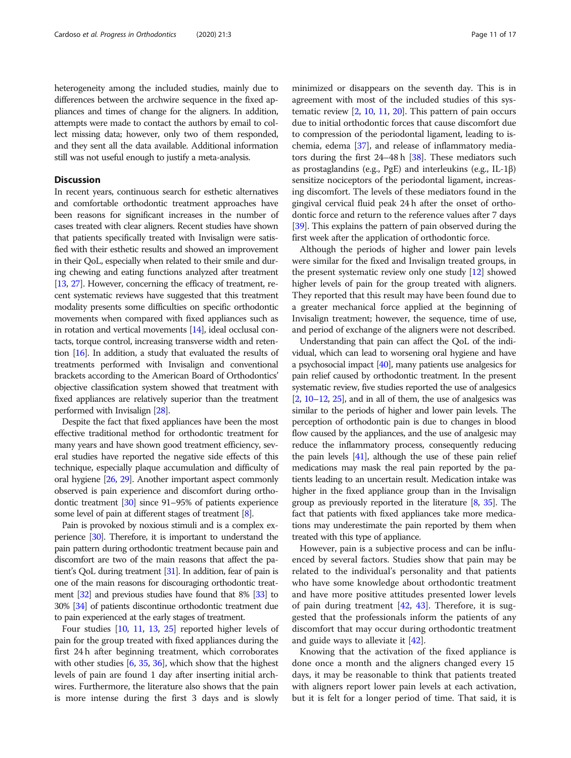heterogeneity among the included studies, mainly due to differences between the archwire sequence in the fixed appliances and times of change for the aligners. In addition, attempts were made to contact the authors by email to collect missing data; however, only two of them responded, and they sent all the data available. Additional information still was not useful enough to justify a meta-analysis.

# **Discussion**

In recent years, continuous search for esthetic alternatives and comfortable orthodontic treatment approaches have been reasons for significant increases in the number of cases treated with clear aligners. Recent studies have shown that patients specifically treated with Invisalign were satisfied with their esthetic results and showed an improvement in their QoL, especially when related to their smile and during chewing and eating functions analyzed after treatment [[13](#page-15-0), [27\]](#page-16-0). However, concerning the efficacy of treatment, recent systematic reviews have suggested that this treatment modality presents some difficulties on specific orthodontic movements when compared with fixed appliances such as in rotation and vertical movements [[14\]](#page-15-0), ideal occlusal contacts, torque control, increasing transverse width and retention [[16](#page-15-0)]. In addition, a study that evaluated the results of treatments performed with Invisalign and conventional brackets according to the American Board of Orthodontics' objective classification system showed that treatment with fixed appliances are relatively superior than the treatment performed with Invisalign [\[28](#page-16-0)].

Despite the fact that fixed appliances have been the most effective traditional method for orthodontic treatment for many years and have shown good treatment efficiency, several studies have reported the negative side effects of this technique, especially plaque accumulation and difficulty of oral hygiene [\[26](#page-16-0), [29\]](#page-16-0). Another important aspect commonly observed is pain experience and discomfort during orthodontic treatment [[30](#page-16-0)] since 91–95% of patients experience some level of pain at different stages of treatment [\[8\]](#page-15-0).

Pain is provoked by noxious stimuli and is a complex experience [\[30](#page-16-0)]. Therefore, it is important to understand the pain pattern during orthodontic treatment because pain and discomfort are two of the main reasons that affect the patient's QoL during treatment [\[31](#page-16-0)]. In addition, fear of pain is one of the main reasons for discouraging orthodontic treatment [\[32\]](#page-16-0) and previous studies have found that 8% [[33](#page-16-0)] to 30% [\[34](#page-16-0)] of patients discontinue orthodontic treatment due to pain experienced at the early stages of treatment.

Four studies [\[10,](#page-15-0) [11,](#page-15-0) [13,](#page-15-0) [25\]](#page-16-0) reported higher levels of pain for the group treated with fixed appliances during the first 24 h after beginning treatment, which corroborates with other studies [\[6,](#page-15-0) [35](#page-16-0), [36\]](#page-16-0), which show that the highest levels of pain are found 1 day after inserting initial archwires. Furthermore, the literature also shows that the pain is more intense during the first 3 days and is slowly

minimized or disappears on the seventh day. This is in agreement with most of the included studies of this systematic review [[2,](#page-15-0) [10](#page-15-0), [11](#page-15-0), [20](#page-16-0)]. This pattern of pain occurs due to initial orthodontic forces that cause discomfort due to compression of the periodontal ligament, leading to ischemia, edema [[37](#page-16-0)], and release of inflammatory mediators during the first 24–48 h [[38](#page-16-0)]. These mediators such as prostaglandins (e.g., PgE) and interleukins (e.g., IL-1β) sensitize nociceptors of the periodontal ligament, increasing discomfort. The levels of these mediators found in the gingival cervical fluid peak 24 h after the onset of orthodontic force and return to the reference values after 7 days [[39](#page-16-0)]. This explains the pattern of pain observed during the first week after the application of orthodontic force.

Although the periods of higher and lower pain levels were similar for the fixed and Invisalign treated groups, in the present systematic review only one study [\[12](#page-15-0)] showed higher levels of pain for the group treated with aligners. They reported that this result may have been found due to a greater mechanical force applied at the beginning of Invisalign treatment; however, the sequence, time of use, and period of exchange of the aligners were not described.

Understanding that pain can affect the QoL of the individual, which can lead to worsening oral hygiene and have a psychosocial impact [[40](#page-16-0)], many patients use analgesics for pain relief caused by orthodontic treatment. In the present systematic review, five studies reported the use of analgesics  $[2, 10-12, 25]$  $[2, 10-12, 25]$  $[2, 10-12, 25]$  $[2, 10-12, 25]$  $[2, 10-12, 25]$  $[2, 10-12, 25]$  $[2, 10-12, 25]$  $[2, 10-12, 25]$  $[2, 10-12, 25]$ , and in all of them, the use of analgesics was similar to the periods of higher and lower pain levels. The perception of orthodontic pain is due to changes in blood flow caused by the appliances, and the use of analgesic may reduce the inflammatory process, consequently reducing the pain levels [[41](#page-16-0)], although the use of these pain relief medications may mask the real pain reported by the patients leading to an uncertain result. Medication intake was higher in the fixed appliance group than in the Invisalign group as previously reported in the literature [\[8,](#page-15-0) [35\]](#page-16-0). The fact that patients with fixed appliances take more medications may underestimate the pain reported by them when treated with this type of appliance.

However, pain is a subjective process and can be influenced by several factors. Studies show that pain may be related to the individual's personality and that patients who have some knowledge about orthodontic treatment and have more positive attitudes presented lower levels of pain during treatment [[42,](#page-16-0) [43\]](#page-16-0). Therefore, it is suggested that the professionals inform the patients of any discomfort that may occur during orthodontic treatment and guide ways to alleviate it [\[42\]](#page-16-0).

Knowing that the activation of the fixed appliance is done once a month and the aligners changed every 15 days, it may be reasonable to think that patients treated with aligners report lower pain levels at each activation, but it is felt for a longer period of time. That said, it is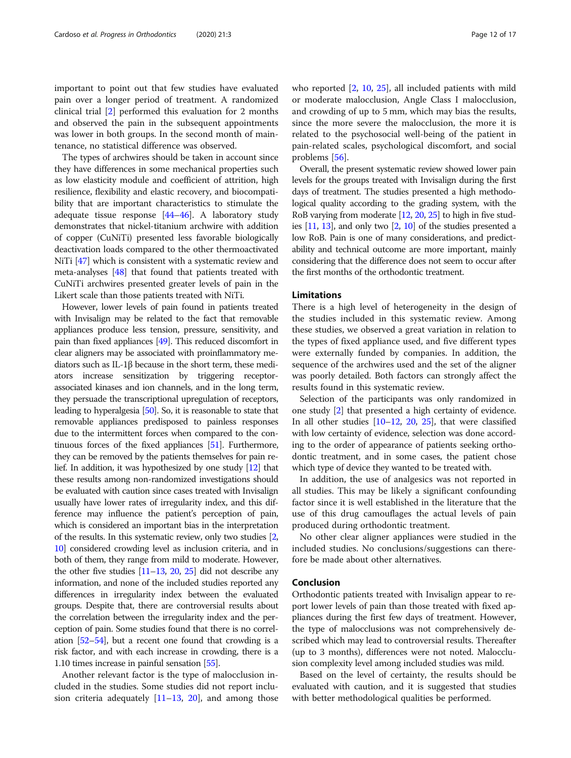important to point out that few studies have evaluated pain over a longer period of treatment. A randomized clinical trial [[2\]](#page-15-0) performed this evaluation for 2 months and observed the pain in the subsequent appointments was lower in both groups. In the second month of maintenance, no statistical difference was observed.

The types of archwires should be taken in account since they have differences in some mechanical properties such as low elasticity module and coefficient of attrition, high resilience, flexibility and elastic recovery, and biocompatibility that are important characteristics to stimulate the adequate tissue response [\[44](#page-16-0)–[46](#page-16-0)]. A laboratory study demonstrates that nickel-titanium archwire with addition of copper (CuNiTi) presented less favorable biologically deactivation loads compared to the other thermoactivated NiTi [\[47\]](#page-16-0) which is consistent with a systematic review and meta-analyses [[48](#page-16-0)] that found that patients treated with CuNiTi archwires presented greater levels of pain in the Likert scale than those patients treated with NiTi.

However, lower levels of pain found in patients treated with Invisalign may be related to the fact that removable appliances produce less tension, pressure, sensitivity, and pain than fixed appliances [\[49\]](#page-16-0). This reduced discomfort in clear aligners may be associated with proinflammatory mediators such as IL-1β because in the short term, these mediators increase sensitization by triggering receptorassociated kinases and ion channels, and in the long term, they persuade the transcriptional upregulation of receptors, leading to hyperalgesia [\[50\]](#page-16-0). So, it is reasonable to state that removable appliances predisposed to painless responses due to the intermittent forces when compared to the continuous forces of the fixed appliances [\[51\]](#page-16-0). Furthermore, they can be removed by the patients themselves for pain relief. In addition, it was hypothesized by one study [\[12\]](#page-15-0) that these results among non-randomized investigations should be evaluated with caution since cases treated with Invisalign usually have lower rates of irregularity index, and this difference may influence the patient's perception of pain, which is considered an important bias in the interpretation of the results. In this systematic review, only two studies [[2](#page-15-0), [10](#page-15-0)] considered crowding level as inclusion criteria, and in both of them, they range from mild to moderate. However, the other five studies  $[11–13, 20, 25]$  $[11–13, 20, 25]$  $[11–13, 20, 25]$  $[11–13, 20, 25]$  $[11–13, 20, 25]$  $[11–13, 20, 25]$  $[11–13, 20, 25]$  did not describe any information, and none of the included studies reported any differences in irregularity index between the evaluated groups. Despite that, there are controversial results about the correlation between the irregularity index and the perception of pain. Some studies found that there is no correlation [\[52](#page-16-0)–[54](#page-16-0)], but a recent one found that crowding is a risk factor, and with each increase in crowding, there is a 1.10 times increase in painful sensation [\[55\]](#page-16-0).

Another relevant factor is the type of malocclusion included in the studies. Some studies did not report inclusion criteria adequately  $[11–13, 20]$  $[11–13, 20]$  $[11–13, 20]$  $[11–13, 20]$  $[11–13, 20]$  $[11–13, 20]$  $[11–13, 20]$ , and among those and crowding of up to 5 mm, which may bias the results, since the more severe the malocclusion, the more it is related to the psychosocial well-being of the patient in pain-related scales, psychological discomfort, and social problems [[56\]](#page-16-0).

Overall, the present systematic review showed lower pain levels for the groups treated with Invisalign during the first days of treatment. The studies presented a high methodological quality according to the grading system, with the RoB varying from moderate [\[12](#page-15-0), [20](#page-16-0), [25](#page-16-0)] to high in five studies  $[11, 13]$  $[11, 13]$  $[11, 13]$  $[11, 13]$ , and only two  $[2, 10]$  $[2, 10]$  $[2, 10]$  of the studies presented a low RoB. Pain is one of many considerations, and predictability and technical outcome are more important, mainly considering that the difference does not seem to occur after the first months of the orthodontic treatment.

# Limitations

There is a high level of heterogeneity in the design of the studies included in this systematic review. Among these studies, we observed a great variation in relation to the types of fixed appliance used, and five different types were externally funded by companies. In addition, the sequence of the archwires used and the set of the aligner was poorly detailed. Both factors can strongly affect the results found in this systematic review.

Selection of the participants was only randomized in one study [[2\]](#page-15-0) that presented a high certainty of evidence. In all other studies [\[10](#page-15-0)–[12](#page-15-0), [20,](#page-16-0) [25\]](#page-16-0), that were classified with low certainty of evidence, selection was done according to the order of appearance of patients seeking orthodontic treatment, and in some cases, the patient chose which type of device they wanted to be treated with.

In addition, the use of analgesics was not reported in all studies. This may be likely a significant confounding factor since it is well established in the literature that the use of this drug camouflages the actual levels of pain produced during orthodontic treatment.

No other clear aligner appliances were studied in the included studies. No conclusions/suggestions can therefore be made about other alternatives.

# Conclusion

Orthodontic patients treated with Invisalign appear to report lower levels of pain than those treated with fixed appliances during the first few days of treatment. However, the type of malocclusions was not comprehensively described which may lead to controversial results. Thereafter (up to 3 months), differences were not noted. Malocclusion complexity level among included studies was mild.

Based on the level of certainty, the results should be evaluated with caution, and it is suggested that studies with better methodological qualities be performed.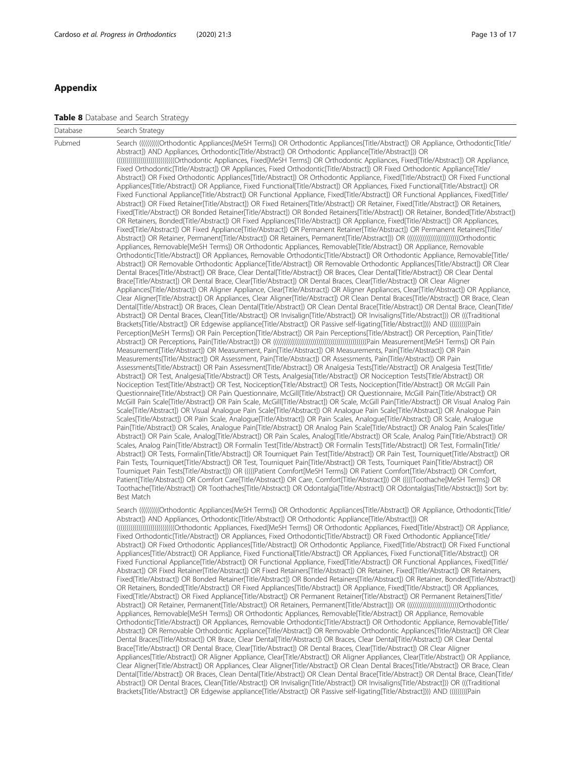# Appendix

## Table 8 Database and Search Strategy

| Database | Search Strategy                                                                                                                                                                                                                                                                                                                                                                                                                                                                                                                                                                                                                                                                                                                                                                                                                                                                                                                                                                                                                                                                                                                                                                                                                                                                                                                                                                                                                                                                                                                                                                                                                                                                                                                                                                                                                                                                                                                                                                                                                                                                                                                                                                                                                                                                                                                                                                                                                                                                                                                                                                                                                                                                                                                                                                                                                                                                                                                                                                                                                                                                                                                                                                                                                                                                                                                                                                                                                                                                                                                                                                                                                                                                                                                                                                                                                                                                                                                                                                                                                                                                                                                                                                                                                                                                                                                                                                                                                                                                                                                                                                                                                                                                                                                                                                                                                                                                                                                                                                                                                                                                                                                                                                                                                                                                                      |
|----------|------------------------------------------------------------------------------------------------------------------------------------------------------------------------------------------------------------------------------------------------------------------------------------------------------------------------------------------------------------------------------------------------------------------------------------------------------------------------------------------------------------------------------------------------------------------------------------------------------------------------------------------------------------------------------------------------------------------------------------------------------------------------------------------------------------------------------------------------------------------------------------------------------------------------------------------------------------------------------------------------------------------------------------------------------------------------------------------------------------------------------------------------------------------------------------------------------------------------------------------------------------------------------------------------------------------------------------------------------------------------------------------------------------------------------------------------------------------------------------------------------------------------------------------------------------------------------------------------------------------------------------------------------------------------------------------------------------------------------------------------------------------------------------------------------------------------------------------------------------------------------------------------------------------------------------------------------------------------------------------------------------------------------------------------------------------------------------------------------------------------------------------------------------------------------------------------------------------------------------------------------------------------------------------------------------------------------------------------------------------------------------------------------------------------------------------------------------------------------------------------------------------------------------------------------------------------------------------------------------------------------------------------------------------------------------------------------------------------------------------------------------------------------------------------------------------------------------------------------------------------------------------------------------------------------------------------------------------------------------------------------------------------------------------------------------------------------------------------------------------------------------------------------------------------------------------------------------------------------------------------------------------------------------------------------------------------------------------------------------------------------------------------------------------------------------------------------------------------------------------------------------------------------------------------------------------------------------------------------------------------------------------------------------------------------------------------------------------------------------------------------------------------------------------------------------------------------------------------------------------------------------------------------------------------------------------------------------------------------------------------------------------------------------------------------------------------------------------------------------------------------------------------------------------------------------------------------------------------------------------------------------------------------------------------------------------------------------------------------------------------------------------------------------------------------------------------------------------------------------------------------------------------------------------------------------------------------------------------------------------------------------------------------------------------------------------------------------------------------------------------------------------------------------------------------------------------------------------------------------------------------------------------------------------------------------------------------------------------------------------------------------------------------------------------------------------------------------------------------------------------------------------------------------------------------------------------------------------------------------------------------------------------------------------------------|
| Pubmed   | Search ((((((((((Orthodontic Appliances[MeSH Terms]) OR Orthodontic Appliances[Title/Abstract]) OR Appliance, Orthodontic[Title/<br>Abstract]) AND Appliances, Orthodontic[Title/Abstract]) OR Orthodontic Appliance[Title/Abstract])) OR<br>[[[[[[[[[[[[[[[[[[[[[[[[[[[[[[[[]]]]]] [Orthodontic Appliances, Fixed[MeSH Terms]) OR Orthodontic Appliances, Fixed[Title/Abstract]) OR Appliance,<br>Fixed Orthodontic[Title/Abstract]) OR Appliances, Fixed Orthodontic[Title/Abstract]) OR Fixed Orthodontic Appliance[Title/<br>Abstract]) OR Fixed Orthodontic Appliances[Title/Abstract]) OR Orthodontic Appliance, Fixed[Title/Abstract]) OR Fixed Functional<br>Appliances[Title/Abstract]) OR Appliance, Fixed Functional[Title/Abstract]) OR Appliances, Fixed Functional[Title/Abstract]) OR<br>Fixed Functional Appliance[Title/Abstract]) OR Functional Appliance, Fixed[Title/Abstract]) OR Functional Appliances, Fixed[Title/<br>Abstract]) OR Fixed Retainer[Title/Abstract]) OR Fixed Retainers[Title/Abstract]) OR Retainer, Fixed[Title/Abstract]) OR Retainers,<br>Fixed[Title/Abstract]) OR Bonded Retainer[Title/Abstract]) OR Bonded Retainers[Title/Abstract]) OR Retainer, Bonded[Title/Abstract])<br>OR Retainers, Bonded[Title/Abstract]) OR Fixed Appliances[Title/Abstract]) OR Appliance, Fixed[Title/Abstract]) OR Appliances,<br>Fixed[Title/Abstract]) OR Fixed Appliance[Title/Abstract]) OR Permanent Retainer[Title/Abstract]) OR Permanent Retainers[Title/<br>Appliances, Removable[MeSH Terms]) OR Orthodontic Appliances, Removable[Title/Abstract]) OR Appliance, Removable<br>Orthodontic[Title/Abstract]) OR Appliances, Removable Orthodontic[Title/Abstract]) OR Orthodontic Appliance, Removable[Title/<br>Abstract]) OR Removable Orthodontic Appliance[Title/Abstract]) OR Removable Orthodontic Appliances[Title/Abstract]) OR Clear<br>Dental Braces[Title/Abstract]) OR Brace, Clear Dental[Title/Abstract]) OR Braces, Clear Dental[Title/Abstract]) OR Clear Dental<br>Brace[Title/Abstract]) OR Dental Brace, Clear[Title/Abstract]) OR Dental Braces, Clear[Title/Abstract]) OR Clear Aligner<br>Appliances[Title/Abstract]) OR Aligner Appliance, Clear[Title/Abstract]) OR Aligner Appliances, Clear[Title/Abstract]) OR Appliance,<br>Clear Aligner[Title/Abstract]) OR Appliances, Clear Aligner[Title/Abstract]) OR Clean Dental Braces[Title/Abstract]) OR Brace, Clean<br>Dental[Title/Abstract]) OR Braces, Clean Dental[Title/Abstract]) OR Clean Dental Brace[Title/Abstract]) OR Dental Brace, Clean[Title/<br>Abstract]) OR Dental Braces, Clean[Title/Abstract]) OR Invisalign[Title/Abstract]) OR Invisaligns[Title/Abstract])) OR (((Traditional<br>Brackets[Title/Abstract]) OR Edgewise appliance[Title/Abstract]) OR Passive self-ligating[Title/Abstract]))) AND (((((((((Pain<br>Perception[MeSH Terms]) OR Pain Perception[Title/Abstract]) OR Pain Perceptions[Title/Abstract]) OR Perception, Pain[Title/<br>Measurement[Title/Abstract]) OR Measurement, Pain[Title/Abstract]) OR Measurements, Pain[Title/Abstract]) OR Pain<br>Measurements[Title/Abstract]) OR Assessment, Pain[Title/Abstract]) OR Assessments, Pain[Title/Abstract]) OR Pain<br>Assessments[Title/Abstract]) OR Pain Assessment[Title/Abstract]) OR Analgesia Tests[Title/Abstract]) OR Analgesia Test[Title/<br>Abstract]) OR Test, Analgesia[Title/Abstract]) OR Tests, Analgesia[Title/Abstract]) OR Nociception Tests[Title/Abstract]) OR<br>Nociception Test[Title/Abstract]) OR Test, Nociception[Title/Abstract]) OR Tests, Nociception[Title/Abstract]) OR McGill Pain<br>Questionnaire[Title/Abstract]) OR Pain Questionnaire, McGill[Title/Abstract]) OR Questionnaire, McGill Pain[Title/Abstract]) OR<br>McGill Pain Scale[Title/Abstract]) OR Pain Scale, McGill[Title/Abstract]) OR Scale, McGill Pain[Title/Abstract]) OR Visual Analog Pain<br>Scale[Title/Abstract]) OR Visual Analogue Pain Scale[Title/Abstract]) OR Analogue Pain Scale[Title/Abstract]) OR Analogue Pain<br>Scales[Title/Abstract]) OR Pain Scale, Analogue[Title/Abstract]) OR Pain Scales, Analogue[Title/Abstract]) OR Scale, Analogue<br>Pain[Title/Abstract]) OR Scales, Analogue Pain[Title/Abstract]) OR Analog Pain Scale[Title/Abstract]) OR Analog Pain Scales[Title/<br>Abstract]) OR Pain Scale, Analog[Title/Abstract]) OR Pain Scales, Analog[Title/Abstract]) OR Scale, Analog Pain[Title/Abstract]) OR<br>Scales, Analog Pain[Title/Abstract]) OR Formalin Test[Title/Abstract]) OR Formalin Tests[Title/Abstract]) OR Test, Formalin[Title/<br>Abstract]) OR Tests, Formalin[Title/Abstract]) OR Tourniquet Pain Test[Title/Abstract]) OR Pain Test, Tourniquet[Title/Abstract]) OR<br>Pain Tests, Tourniquet[Title/Abstract]) OR Test, Tourniquet Pain[Title/Abstract]) OR Tests, Tourniquet Pain[Title/Abstract]) OR<br>Tourniquet Pain Tests Title/Abstract])) OR (((((Patient Comfort[MeSH Terms]) OR Patient Comfort Title/Abstract]) OR Comfort,<br>Patient[Title/Abstract]) OR Comfort Care[Title/Abstract]) OR Care, Comfort[Title/Abstract])) OR (((((Toothache[MeSH Terms]) OR<br>Toothache[Title/Abstract]) OR Toothaches[Title/Abstract]) OR Odontalgia[Title/Abstract]) OR Odontalgias[Title/Abstract])) Sort by:<br>Best Match |
|          | Search ((((((((((Orthodontic Appliances[MeSH Terms]) OR Orthodontic Appliances[Title/Abstract]) OR Appliance, Orthodontic[Title/<br>Abstract]) AND Appliances, Orthodontic[Title/Abstract]) OR Orthodontic Appliance[Title/Abstract])) OR<br>Fixed Orthodontic[Title/Abstract]) OR Appliances, Fixed Orthodontic[Title/Abstract]) OR Fixed Orthodontic Appliance[Title/<br>Abstract]) OR Fixed Orthodontic Appliances[Title/Abstract]) OR Orthodontic Appliance, Fixed[Title/Abstract]) OR Fixed Functional<br>Appliances[Title/Abstract]) OR Appliance, Fixed Functional[Title/Abstract]) OR Appliances, Fixed Functional[Title/Abstract]) OR<br>Fixed Functional Appliance[Title/Abstract]) OR Functional Appliance, Fixed[Title/Abstract]) OR Functional Appliances, Fixed[Title/<br>Abstract]) OR Fixed Retainer[Title/Abstract]) OR Fixed Retainers[Title/Abstract]) OR Retainer, Fixed[Title/Abstract]) OR Retainers,<br>Fixed[Title/Abstract]) OR Bonded Retainer[Title/Abstract]) OR Bonded Retainers[Title/Abstract]) OR Retainer, Bonded[Title/Abstract]<br>OR Retainers, Bonded[Title/Abstract]) OR Fixed Appliances[Title/Abstract]) OR Appliance, Fixed[Title/Abstract]) OR Appliances,<br>Fixed[Title/Abstract]) OR Fixed Appliance[Title/Abstract]) OR Permanent Retainer[Title/Abstract]) OR Permanent Retainers[Title/<br>Appliances, Removable[MeSH Terms]) OR Orthodontic Appliances, Removable[Title/Abstract]) OR Appliance, Removable<br>Orthodontic[Title/Abstract]) OR Appliances, Removable Orthodontic[Title/Abstract]) OR Orthodontic Appliance, Removable[Title/                                                                                                                                                                                                                                                                                                                                                                                                                                                                                                                                                                                                                                                                                                                                                                                                                                                                                                                                                                                                                                                                                                                                                                                                                                                                                                                                                                                                                                                                                                                                                                                                                                                                                                                                                                                                                                                                                                                                                                                                                                                                                                                                                                                                                                                                                                                                                                                                                                                                                                                                                                                                                                                                                                                                                                                                                                                                                                                                                                                                                                                                                                                                                                                                                                                                                                                                                                                                                                                                                                                                                                                                                                                                                                         |

Abstract]) OR Removable Orthodontic Appliance[Title/Abstract]) OR Removable Orthodontic Appliances[Title/Abstract]) OR Clear Dental Braces[Title/Abstract]) OR Brace, Clear Dental[Title/Abstract]) OR Braces, Clear Dental[Title/Abstract]) OR Clear Dental Brace[Title/Abstract]) OR Dental Brace, Clear[Title/Abstract]) OR Dental Braces, Clear[Title/Abstract]) OR Clear Aligner Appliances[Title/Abstract]) OR Aligner Appliance, Clear[Title/Abstract]) OR Aligner Appliances, Clear[Title/Abstract]) OR Appliance, Clear Aligner[Title/Abstract]) OR Appliances, Clear Aligner[Title/Abstract]) OR Clean Dental Braces[Title/Abstract]) OR Brace, Clean Dental[Title/Abstract]) OR Braces, Clean Dental[Title/Abstract]) OR Clean Dental Brace[Title/Abstract]) OR Dental Brace, Clean[Title/ Abstract]) OR Dental Braces, Clean[Title/Abstract]) OR Invisalign[Title/Abstract]) OR Invisaligns[Title/Abstract])) OR (((Traditional Brackets[Title/Abstract]) OR Edgewise appliance[Title/Abstract]) OR Passive self-ligating[Title/Abstract]))) AND (((((((((Pain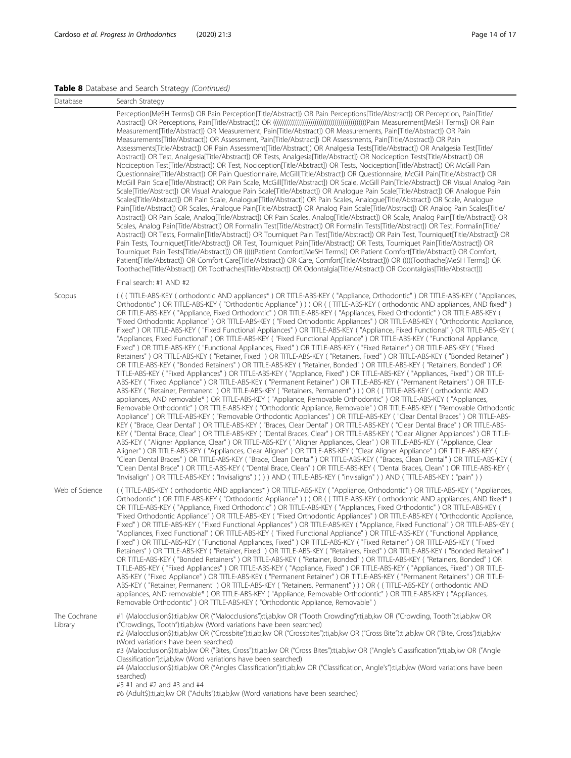# Table 8 Database and Search Strategy (Continued)

| Database                | Search Strategy                                                                                                                                                                                                                                                                                                                                                                                                                                                                                                                                                                                                                                                                                                                                                                                                                                                                                                                                                                                                                                                                                                                                                                                                                                                                                                                                                                                                                                                                                                                                                                                                                                                                                                                                                                                                                                                                                                                                                                                                                                                                                                                                                                                                                                                                                                                                                                                                                                                                                                                                                                                                                                                                                                                                                                                                               |
|-------------------------|-------------------------------------------------------------------------------------------------------------------------------------------------------------------------------------------------------------------------------------------------------------------------------------------------------------------------------------------------------------------------------------------------------------------------------------------------------------------------------------------------------------------------------------------------------------------------------------------------------------------------------------------------------------------------------------------------------------------------------------------------------------------------------------------------------------------------------------------------------------------------------------------------------------------------------------------------------------------------------------------------------------------------------------------------------------------------------------------------------------------------------------------------------------------------------------------------------------------------------------------------------------------------------------------------------------------------------------------------------------------------------------------------------------------------------------------------------------------------------------------------------------------------------------------------------------------------------------------------------------------------------------------------------------------------------------------------------------------------------------------------------------------------------------------------------------------------------------------------------------------------------------------------------------------------------------------------------------------------------------------------------------------------------------------------------------------------------------------------------------------------------------------------------------------------------------------------------------------------------------------------------------------------------------------------------------------------------------------------------------------------------------------------------------------------------------------------------------------------------------------------------------------------------------------------------------------------------------------------------------------------------------------------------------------------------------------------------------------------------------------------------------------------------------------------------------------------------|
|                         | Perception[MeSH Terms]) OR Pain Perception[Title/Abstract]) OR Pain Perceptions[Title/Abstract]) OR Perception, Pain[Title/<br>Measurement[Title/Abstract]) OR Measurement, Pain[Title/Abstract]) OR Measurements, Pain[Title/Abstract]) OR Pain<br>Measurements[Title/Abstract]) OR Assessment, Pain[Title/Abstract]) OR Assessments, Pain[Title/Abstract]) OR Pain<br>Assessments[Title/Abstract]) OR Pain Assessment[Title/Abstract]) OR Analgesia Tests[Title/Abstract]) OR Analgesia Test[Title/<br>Abstract]) OR Test, Analgesia[Title/Abstract]) OR Tests, Analgesia[Title/Abstract]) OR Nociception Tests[Title/Abstract]) OR<br>Nociception Test[Title/Abstract]) OR Test, Nociception[Title/Abstract]) OR Tests, Nociception[Title/Abstract]) OR McGill Pain<br>Questionnaire[Title/Abstract]) OR Pain Questionnaire, McGill[Title/Abstract]) OR Questionnaire, McGill Pain[Title/Abstract]) OR<br>McGill Pain Scale[Title/Abstract]) OR Pain Scale, McGill[Title/Abstract]) OR Scale, McGill Pain[Title/Abstract]) OR Visual Analog Pain<br>Scale[Title/Abstract]) OR Visual Analogue Pain Scale[Title/Abstract]) OR Analogue Pain Scale[Title/Abstract]) OR Analogue Pain<br>Scales[Title/Abstract]) OR Pain Scale, Analogue[Title/Abstract]) OR Pain Scales, Analogue[Title/Abstract]) OR Scale, Analogue<br>Pain[Title/Abstract]) OR Scales, Analogue Pain[Title/Abstract]) OR Analog Pain Scale[Title/Abstract]) OR Analog Pain Scales[Title/<br>Abstract]) OR Pain Scale, Analog[Title/Abstract]) OR Pain Scales, Analog[Title/Abstract]) OR Scale, Analog Pain[Title/Abstract]) OR<br>Scales, Analog Pain[Title/Abstract]) OR Formalin Test[Title/Abstract]) OR Formalin Tests[Title/Abstract]) OR Test, Formalin[Title/<br>Abstract]) OR Tests, Formalin[Title/Abstract]) OR Tourniquet Pain Test[Title/Abstract]) OR Pain Test, Tourniquet[Title/Abstract]) OR<br>Pain Tests, Tourniquet[Title/Abstract]) OR Test, Tourniquet Pain[Title/Abstract]) OR Tests, Tourniquet Pain[Title/Abstract]) OR<br>Tourniquet Pain Tests[Title/Abstract])) OR (((((Patient Comfort[MeSH Terms]) OR Patient Comfort[Title/Abstract]) OR Comfort,<br>Patient[Title/Abstract]) OR Comfort Care[Title/Abstract]) OR Care, Comfort[Title/Abstract])) OR (((((Toothache[MeSH Terms]) OR<br>Toothache[Title/Abstract]) OR Toothaches[Title/Abstract]) OR Odontalgia[Title/Abstract]) OR Odontalgias[Title/Abstract]))                                                                                                                                                                                                                                                                                                                                                                                                           |
|                         | Final search: #1 AND #2                                                                                                                                                                                                                                                                                                                                                                                                                                                                                                                                                                                                                                                                                                                                                                                                                                                                                                                                                                                                                                                                                                                                                                                                                                                                                                                                                                                                                                                                                                                                                                                                                                                                                                                                                                                                                                                                                                                                                                                                                                                                                                                                                                                                                                                                                                                                                                                                                                                                                                                                                                                                                                                                                                                                                                                                       |
| Scopus                  | ((TITLE-ABS-KEY (orthodontic AND appliances*) OR TITLE-ABS-KEY ("Appliance, Orthodontic") OR TITLE-ABS-KEY ("Appliances,<br>Orthodontic") OR TITLE-ABS-KEY ("Orthodontic Appliance"))) OR ((TITLE-ABS-KEY (orthodontic AND appliances, AND fixed*)<br>OR TITLE-ABS-KEY ("Appliance, Fixed Orthodontic") OR TITLE-ABS-KEY ("Appliances, Fixed Orthodontic") OR TITLE-ABS-KEY (<br>"Fixed Orthodontic Appliance") OR TITLE-ABS-KEY ("Fixed Orthodontic Appliances") OR TITLE-ABS-KEY ("Orthodontic Appliance,<br>Fixed") OR TITLE-ABS-KEY ("Fixed Functional Appliances") OR TITLE-ABS-KEY ("Appliance, Fixed Functional") OR TITLE-ABS-KEY (<br>"Appliances, Fixed Functional") OR TITLE-ABS-KEY ("Fixed Functional Appliance") OR TITLE-ABS-KEY ("Functional Appliance,<br>Fixed") OR TITLE-ABS-KEY ("Functional Appliances, Fixed") OR TITLE-ABS-KEY ("Fixed Retainer") OR TITLE-ABS-KEY ("Fixed<br>Retainers") OR TITLE-ABS-KEY ("Retainer, Fixed") OR TITLE-ABS-KEY ("Retainers, Fixed") OR TITLE-ABS-KEY ("Bonded Retainer")<br>OR TITLE-ABS-KEY ("Bonded Retainers") OR TITLE-ABS-KEY ("Retainer, Bonded") OR TITLE-ABS-KEY ("Retainers, Bonded") OR<br>TITLE-ABS-KEY ("Fixed Appliances") OR TITLE-ABS-KEY ("Appliance, Fixed") OR TITLE-ABS-KEY ("Appliances, Fixed") OR TITLE-<br>ABS-KEY ("Fixed Appliance") OR TITLE-ABS-KEY ("Permanent Retainer") OR TITLE-ABS-KEY ("Permanent Retainers") OR TITLE-<br>ABS-KEY ("Retainer, Permanent") OR TITLE-ABS-KEY ("Retainers, Permanent"))) OR ((TITLE-ABS-KEY (orthodontic AND<br>appliances, AND removable*) OR TITLE-ABS-KEY ("Appliance, Removable Orthodontic") OR TITLE-ABS-KEY ("Appliances,<br>Removable Orthodontic") OR TITLE-ABS-KEY ("Orthodontic Appliance, Removable") OR TITLE-ABS-KEY ("Removable Orthodontic<br>Appliance") OR TITLE-ABS-KEY ("Removable Orthodontic Appliances") OR TITLE-ABS-KEY ("Clear Dental Braces") OR TITLE-ABS-<br>KEY ("Brace, Clear Dental") OR TITLE-ABS-KEY ("Braces, Clear Dental") OR TITLE-ABS-KEY ("Clear Dental Brace") OR TITLE-ABS-<br>KEY ("Dental Brace, Clear") OR TITLE-ABS-KEY ("Dental Braces, Clear") OR TITLE-ABS-KEY ("Clear Aligner Appliances") OR TITLE-<br>ABS-KEY ("Aligner Appliance, Clear") OR TITLE-ABS-KEY ("Aligner Appliances, Clear") OR TITLE-ABS-KEY ("Appliance, Clear<br>Aligner" ) OR TITLE-ABS-KEY ( "Appliances, Clear Aligner" ) OR TITLE-ABS-KEY ( "Clear Aligner Appliance" ) OR TITLE-ABS-KEY (<br>"Clean Dental Braces") OR TITLE-ABS-KEY ("Brace, Clean Dental") OR TITLE-ABS-KEY ("Braces, Clean Dental") OR TITLE-ABS-KEY (<br>"Clean Dental Brace") OR TITLE-ABS-KEY ("Dental Brace, Clean") OR TITLE-ABS-KEY ("Dental Braces, Clean") OR TITLE-ABS-KEY (<br>"Invisalign") OR TITLE-ABS-KEY ("Invisaligns")))) AND (TITLE-ABS-KEY ("invisalign")) AND (TITLE-ABS-KEY ("pain")) |
| Web of Science          | ((TITLE-ABS-KEY (orthodontic AND appliances*) OR TITLE-ABS-KEY ("Appliance, Orthodontic") OR TITLE-ABS-KEY ("Appliances,<br>Orthodontic") OR TITLE-ABS-KEY ("Orthodontic Appliance"))) OR ((TITLE-ABS-KEY (orthodontic AND appliances, AND fixed*)<br>OR TITLE-ABS-KEY ("Appliance, Fixed Orthodontic") OR TITLE-ABS-KEY ("Appliances, Fixed Orthodontic") OR TITLE-ABS-KEY (<br>"Fixed Orthodontic Appliance") OR TITLE-ABS-KEY ("Fixed Orthodontic Appliances") OR TITLE-ABS-KEY ("Orthodontic Appliance,<br>Fixed") OR TITLE-ABS-KEY ("Fixed Functional Appliances") OR TITLE-ABS-KEY ("Appliance, Fixed Functional") OR TITLE-ABS-KEY (<br>"Appliances, Fixed Functional") OR TITLE-ABS-KEY ("Fixed Functional Appliance") OR TITLE-ABS-KEY ("Functional Appliance,<br>Fixed") OR TITLE-ABS-KEY ("Functional Appliances, Fixed") OR TITLE-ABS-KEY ("Fixed Retainer") OR TITLE-ABS-KEY ("Fixed<br>Retainers") OR TITLE-ABS-KEY ("Retainer, Fixed") OR TITLE-ABS-KEY ("Retainers, Fixed") OR TITLE-ABS-KEY ("Bonded Retainer")<br>OR TITLE-ABS-KEY ("Bonded Retainers") OR TITLE-ABS-KEY ("Retainer, Bonded") OR TITLE-ABS-KEY ("Retainers, Bonded") OR<br>TITLE-ABS-KEY ("Fixed Appliances") OR TITLE-ABS-KEY ("Appliance, Fixed") OR TITLE-ABS-KEY ("Appliances, Fixed") OR TITLE-<br>ABS-KEY ("Fixed Appliance") OR TITLE-ABS-KEY ("Permanent Retainer") OR TITLE-ABS-KEY ("Permanent Retainers") OR TITLE-<br>ABS-KEY ("Retainer, Permanent") OR TITLE-ABS-KEY ("Retainers, Permanent"))) OR ((TITLE-ABS-KEY (orthodontic AND<br>appliances, AND removable*) OR TITLE-ABS-KEY ("Appliance, Removable Orthodontic") OR TITLE-ABS-KEY ("Appliances,<br>Removable Orthodontic" ) OR TITLE-ABS-KEY ("Orthodontic Appliance, Removable")                                                                                                                                                                                                                                                                                                                                                                                                                                                                                                                                                                                                                                                                                                                                                                                                                                                                                                                                                                                                                                                                                     |
| The Cochrane<br>Library | #1 (Malocclusion\$):ti,ab,kw OR ("Malocclusions"):ti,ab,kw OR ("Tooth Crowding"):ti,ab,kw OR ("Crowding, Tooth"):ti,ab,kw OR<br>("Crowdings, Tooth"):ti,ab, kw (Word variations have been searched)<br>#2 (Malocclusion\$):ti,ab,kw OR ("Crossbite"):ti,ab,kw OR ("Crossbites"):ti,ab,kw OR ("Cross Bite"):ti,ab,kw OR ("Bite, Cross"):ti,ab,kw<br>(Word variations have been searched)<br>#3 (Malocclusion\$):ti,ab,kw OR ("Bites, Cross"):ti,ab,kw OR ("Cross Bites"):ti,ab,kw OR ("Angle's Classification"):ti,ab,kw OR ("Angle<br>Classification"):ti,ab, kw (Word variations have been searched)<br>#4 (Malocclusion\$):ti,ab,kw OR ("Angles Classification"):ti,ab,kw OR ("Classification, Angle's"):ti,ab,kw (Word variations have been<br>searched)<br>#5 #1 and #2 and #3 and #4                                                                                                                                                                                                                                                                                                                                                                                                                                                                                                                                                                                                                                                                                                                                                                                                                                                                                                                                                                                                                                                                                                                                                                                                                                                                                                                                                                                                                                                                                                                                                                                                                                                                                                                                                                                                                                                                                                                                                                                                                                     |

#6 (Adult\$):ti,ab,kw OR ("Adults"):ti,ab,kw (Word variations have been searched)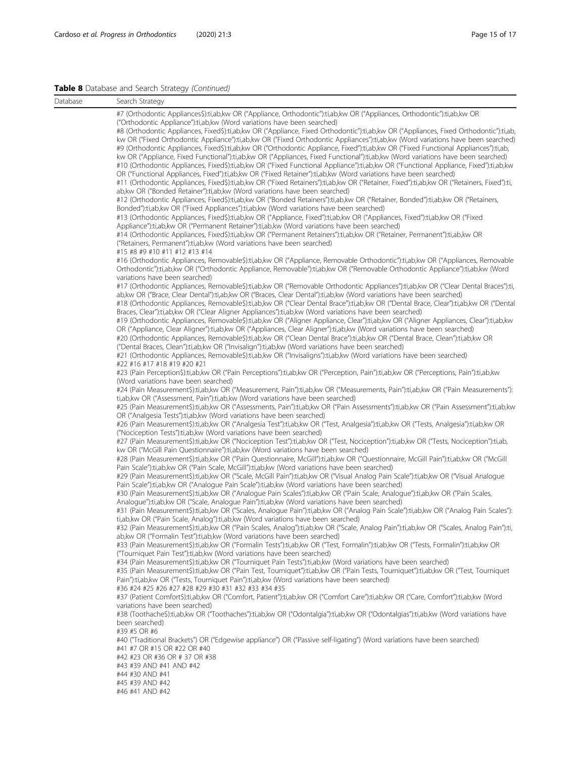# Table 8 Database and Search Strategy (Continued)

| Database | Search Strategy                                                                                                                                                                                                                                                                                                                                                                                                                                                                                                                                                                                                 |
|----------|-----------------------------------------------------------------------------------------------------------------------------------------------------------------------------------------------------------------------------------------------------------------------------------------------------------------------------------------------------------------------------------------------------------------------------------------------------------------------------------------------------------------------------------------------------------------------------------------------------------------|
|          | #7 (Orthodontic Appliances\$):ti,ab,kw OR ("Appliance, Orthodontic"):ti,ab,kw OR ("Appliances, Orthodontic"):ti,ab,kw OR<br>("Orthodontic Appliance"):ti,ab, kw (Word variations have been searched)                                                                                                                                                                                                                                                                                                                                                                                                            |
|          | #8 (Orthodontic Appliances, Fixed\$):ti,ab,kw OR ("Appliance, Fixed Orthodontic"):ti,ab,kw OR ("Appliances, Fixed Orthodontic"):ti,ab,<br>kw OR ("Fixed Orthodontic Appliance"):ti,ab,kw OR ("Fixed Orthodontic Appliances"):ti,ab,kw (Word variations have been searched)<br>#9 (Orthodontic Appliances, Fixed\$):ti,ab,kw OR ("Orthodontic Appliance, Fixed"):ti,ab,kw OR ("Fixed Functional Appliances"):ti,ab,<br>kw OR ("Appliance, Fixed Functional"):ti,ab,kw OR ("Appliances, Fixed Functional"):ti,ab,kw (Word variations have been searched)                                                          |
|          | #10 (Orthodontic Appliances, Fixed\$):ti,ab,kw OR ("Fixed Functional Appliance"):ti,ab,kw OR ("Functional Appliance, Fixed"):ti,ab,kw<br>OR ("Functional Appliances, Fixed"):ti,ab,kw OR ("Fixed Retainer"):ti,ab,kw (Word variations have been searched)<br>#11 (Orthodontic Appliances, Fixed\$):ti,ab,kw OR ("Fixed Retainers"):ti,ab,kw OR ("Retainer, Fixed"):ti,ab,kw OR ("Retainers, Fixed"):ti,<br>ab, kw OR ("Bonded Retainer"): ti, ab, kw (Word variations have been searched)                                                                                                                       |
|          | #12 (Orthodontic Appliances, Fixed\$):ti,ab,kw OR ("Bonded Retainers"):ti,ab,kw OR ("Retainer, Bonded"):ti,ab,kw OR ("Retainers,<br>Bonded"):ti,ab, kw OR ("Fixed Appliances"):ti,ab, kw (Word variations have been searched)<br>#13 (Orthodontic Appliances, Fixed\$):ti,ab,kw OR ("Appliance, Fixed"):ti,ab,kw OR ("Appliances, Fixed"):ti,ab,kw OR ("Fixed                                                                                                                                                                                                                                                   |
|          | Appliance"):ti,ab, kw OR ("Permanent Retainer"):ti,ab, kw (Word variations have been searched)<br>#14 (Orthodontic Appliances, Fixed\$):ti,ab,kw OR ("Permanent Retainers"):ti,ab,kw OR ("Retainer, Permanent"):ti,ab,kw OR<br>("Retainers, Permanent"): ti, ab, kw (Word variations have been searched)                                                                                                                                                                                                                                                                                                        |
|          | #15 #8 #9 #10 #11 #12 #13 #14<br>#16 (Orthodontic Appliances, Removable\$):ti,ab,kw OR ("Appliance, Removable Orthodontic"):ti,ab,kw OR ("Appliances, Removable<br>Orthodontic"):ti,ab,kw OR ("Orthodontic Appliance, Removable"):ti,ab,kw OR ("Removable Orthodontic Appliance"):ti,ab,kw (Word                                                                                                                                                                                                                                                                                                                |
|          | variations have been searched)<br>#17 (Orthodontic Appliances, Removable\$):ti,ab,kw OR ("Removable Orthodontic Appliances"):ti,ab,kw OR ("Clear Dental Braces"):ti,<br>ab, kw OR ("Brace, Clear Dental"):ti,ab, kw OR ("Braces, Clear Dental"):ti,ab, kw (Word variations have been searched)<br>#18 (Orthodontic Appliances, Removable\$):ti,ab,kw OR ("Clear Dental Brace"):ti,ab,kw OR ("Dental Brace, Clear"):ti,ab,kw OR ("Dental                                                                                                                                                                         |
|          | Braces, Clear"):ti,ab,kw OR ("Clear Aligner Appliances"):ti,ab,kw (Word variations have been searched)<br>#19 (Orthodontic Appliances, Removable\$):ti,ab,kw OR ("Aligner Appliance, Clear"):ti,ab,kw OR ("Aligner Appliances, Clear"):ti,ab,kw<br>OR ("Appliance, Clear Aligner"):ti,ab,kw OR ("Appliances, Clear Aligner"):ti,ab,kw (Word variations have been searched)<br>#20 (Orthodontic Appliances, Removable\$):ti,ab,kw OR ("Clean Dental Brace"):ti,ab,kw OR ("Dental Brace, Clean"):ti,ab,kw OR<br>("Dental Braces, Clean"):ti,ab,kw OR ("Invisalign"):ti,ab,kw (Word variations have been searched) |
|          | #21 (Orthodontic Appliances, Removable\$):ti,ab,kw OR ("Invisaligns"):ti,ab,kw (Word variations have been searched)<br>#22 #16 #17 #18 #19 #20 #21                                                                                                                                                                                                                                                                                                                                                                                                                                                              |
|          | #23 (Pain Perception\$):ti,ab,kw OR ("Pain Perceptions"):ti,ab,kw OR ("Perception, Pain"):ti,ab,kw OR ("Perceptions, Pain"):ti,ab,kw<br>(Word variations have been searched)<br>#24 (Pain Measurement\$):ti,ab,kw OR ("Measurement, Pain"):ti,ab,kw OR ("Measurements, Pain"):ti,ab,kw OR ("Pain Measurements"):                                                                                                                                                                                                                                                                                                |
|          | ti,ab, kw OR ("Assessment, Pain"): ti,ab, kw (Word variations have been searched)<br>#25 (Pain Measurement\$):ti,ab,kw OR ("Assessments, Pain"):ti,ab,kw OR ("Pain Assessments"):ti,ab,kw OR ("Pain Assessment"):ti,ab,kw                                                                                                                                                                                                                                                                                                                                                                                       |
|          | OR ("Analgesia Tests"): ti, ab, kw (Word variations have been searched)<br>#26 (Pain Measurement\$):ti,ab,kw OR ("Analgesia Test"):ti,ab,kw OR ("Test, Analgesia"):ti,ab,kw OR ("Tests, Analgesia"):ti,ab,kw OR<br>("Nociception Tests"):ti,ab, kw (Word variations have been searched)                                                                                                                                                                                                                                                                                                                         |
|          | #27 (Pain Measurement\$):ti,ab,kw OR ("Nociception Test"):ti,ab,kw OR ("Test, Nociception"):ti,ab,kw OR ("Tests, Nociception"):ti,ab,<br>kw OR ("McGill Pain Questionnaire"):ti,ab,kw (Word variations have been searched)<br>#28 (Pain Measurement\$):ti,ab,kw OR ("Pain Questionnaire, McGill"):ti,ab,kw OR ("Questionnaire, McGill Pain"):ti,ab,kw OR ("McGill                                                                                                                                                                                                                                               |
|          | Pain Scale"): ti, ab, kw OR ("Pain Scale, McGill"): ti, ab, kw (Word variations have been searched)<br>#29 (Pain Measurement\$):ti,ab,kw OR ("Scale, McGill Pain"):ti,ab,kw OR ("Visual Analog Pain Scale"):ti,ab,kw OR ("Visual Analogue<br>Pain Scale"):ti,ab,kw OR ("Analogue Pain Scale"):ti,ab,kw (Word variations have been searched)                                                                                                                                                                                                                                                                     |
|          | #30 (Pain Measurement\$):ti,ab,kw OR ("Analogue Pain Scales"):ti,ab,kw OR ("Pain Scale, Analogue"):ti,ab,kw OR ("Pain Scales,<br>Analogue"):ti,ab,kw OR ("Scale, Analogue Pain"):ti,ab,kw (Word variations have been searched)                                                                                                                                                                                                                                                                                                                                                                                  |
|          | #31 (Pain Measurement\$):ti,ab,kw OR ("Scales, Analogue Pain"):ti,ab,kw OR ("Analog Pain Scale"):ti,ab,kw OR ("Analog Pain Scales"):<br>ti,ab, kw OR ("Pain Scale, Analog"): ti,ab, kw (Word variations have been searched)<br>#32 (Pain Measurement\$):ti,ab,kw OR ("Pain Scales, Analog"):ti,ab,kw OR ("Scale, Analog Pain"):ti,ab,kw OR ("Scales, Analog Pain"):ti,                                                                                                                                                                                                                                          |
|          | ab, kw OR ("Formalin Test"): ti, ab, kw (Word variations have been searched)<br>#33 (Pain Measurement\$):ti,ab,kw OR ("Formalin Tests"):ti,ab,kw OR ("Test, Formalin"):ti,ab,kw OR ("Tests, Formalin"):ti,ab,kw OR<br>("Tourniquet Pain Test"): ti, ab, kw (Word variations have been searched)                                                                                                                                                                                                                                                                                                                 |
|          | #34 (Pain Measurement\$):ti,ab,kw OR ("Tourniquet Pain Tests"):ti,ab,kw (Word variations have been searched)<br>#35 (Pain Measurement\$):ti,ab,kw OR ("Pain Test, Tourniquet"):ti,ab,kw OR ("Pain Tests, Tourniquet"):ti,ab,kw OR ("Test, Tourniquet<br>Pain"):ti,ab, kw OR ("Tests, Tourniquet Pain"):ti,ab, kw (Word variations have been searched)<br>#36 #24 #25 #26 #27 #28 #29 #30 #31 #32 #33 #34 #35                                                                                                                                                                                                    |
|          | #37 (Patient Comfort\$):ti,ab,kw OR ("Comfort, Patient"):ti,ab,kw OR ("Comfort Care"):ti,ab,kw OR ("Care, Comfort"):ti,ab,kw (Word<br>variations have been searched)<br>#38 (Toothache\$):ti,ab,kw OR ("Toothaches"):ti,ab,kw OR ("Odontalgia"):ti,ab,kw OR ("Odontalgias"):ti,ab,kw (Word variations have<br>been searched)                                                                                                                                                                                                                                                                                    |
|          | #39 #5 OR #6<br>#40 ("Traditional Brackets") OR ("Edgewise appliance") OR ("Passive self-ligating") (Word variations have been searched)<br>#41 #7 OR #15 OR #22 OR #40<br>#42 #23 OR #36 OR #37 OR #38                                                                                                                                                                                                                                                                                                                                                                                                         |
|          | #43 #39 AND #41 AND #42<br>#44 #30 AND #41<br>#45 #39 AND #42<br>#46 #41 AND #42                                                                                                                                                                                                                                                                                                                                                                                                                                                                                                                                |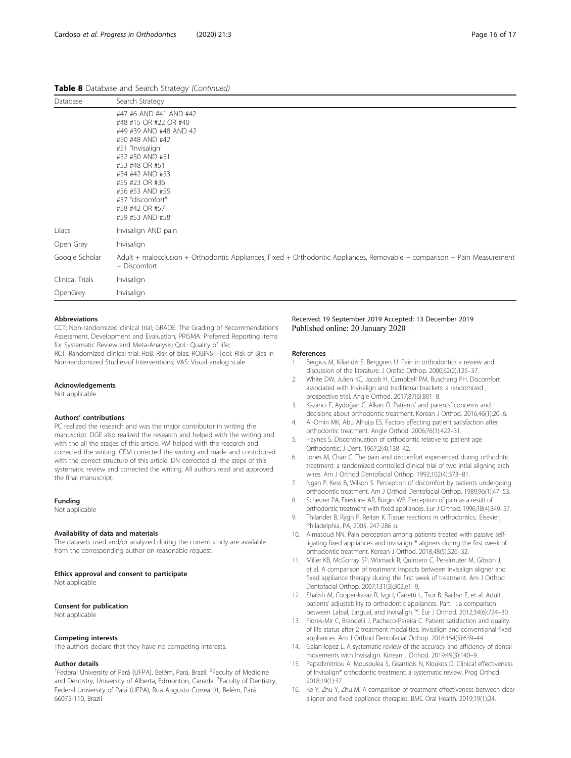<span id="page-15-0"></span>Table 8 Database and Search Strategy (Continued)

| Database        | Search Strategy                                                                                                                                                                                                                                                        |
|-----------------|------------------------------------------------------------------------------------------------------------------------------------------------------------------------------------------------------------------------------------------------------------------------|
|                 | #47 #6 AND #41 AND #42<br>#48 #15 OR #22 OR #40<br>#49 #39 AND #48 AND 42<br>#50 #48 AND #42<br>#51 "Invisalign"<br>#52 #50 AND #51<br>#53 #48 OR #51<br>#54 #42 AND #53<br>#55 #23 OR #36<br>#56 #53 AND #55<br>#57 "discomfort"<br>#58 #42 OR #57<br>#59 #53 AND #58 |
| Lilacs          | Invisalign AND pain                                                                                                                                                                                                                                                    |
| Open Grey       | Invisalign                                                                                                                                                                                                                                                             |
| Google Scholar  | Adult + malocclusion + Orthodontic Appliances, Fixed + Orthodontic Appliances, Removable + comparison + Pain Measurement<br>+ Discomfort                                                                                                                               |
| Clinical Trials | Invisalign                                                                                                                                                                                                                                                             |
| OpenGrey        | Invisalign                                                                                                                                                                                                                                                             |

# Abbreviations

CCT: Non-randomized clinical trial; GRADE: The Grading of Recommendations Assessment, Development and Evaluation; PRISMA: Preferred Reporting Items for Systematic Review and Meta-Analysis; QoL: Quality of life; RCT: Randomized clinical trial; RoB: Risk of bias; ROBINS-I-Tool: Risk of Bias in

Non-randomized Studies-of Interventions; VAS: Visual analog scale

#### Acknowledgements

Not applicable

#### Authors' contributions

PC realized the research and was the major contributor in writing the manuscript. DGE also realized the research and helped with the writing and with the all the stages of this article. PM helped with the research and corrected the writing. CFM corrected the writing and made and contributed with the correct structure of this article. DN corrected all the steps of this systematic review and corrected the writing. All authors read and approved the final manuscript.

#### Funding

Not applicable

# Availability of data and materials

The datasets used and/or analyzed during the current study are available from the corresponding author on reasonable request.

#### Ethics approval and consent to participate

Not applicable

## Consent for publication

Not applicable

#### Competing interests

The authors declare that they have no competing interests.

#### Author details

<sup>1</sup>Federal University of Pará (UFPA), Belém, Pará, Brazil. <sup>2</sup>Faculty of Medicine and Dentistry, University of Alberta, Edmonton, Canada. <sup>3</sup>Faculty of Dentistry, Federal University of Pará (UFPA), Rua Augusto Correa 01, Belém, Pará 66075-110, Brazil.

# Received: 19 September 2019 Accepted: 13 December 2019 Published online: 20 January 2020

#### References

- 1. Bergius M, Kiliaridis S, Berggren U. Pain in orthodontics a review and discussion of the literature. J Orofac Orthop. 2000;62(2):125–37.
- 2. White DW, Julien KC, Jacob H, Campbell PM, Buschang PH. Discomfort associated with Invisalign and traditional brackets: a randomized , prospective trial. Angle Orthod. 2017;87(6):801–8.
- 3. Kazancı F, Aydoğan C, Alkan Ö. Patients' and parents' concerns and decisions about orthodontic treatment. Korean J Orthod. 2016;46(1):20–6.
- 4. Al-Omiri MK, Abu Alhaija ES. Factors affecting patient satisfaction after orthodontic treatment. Angle Orthod. 2006;76(3):422–31.
- Haynes S. Discontinuation of orthodontic relative to patient age Orthodontic. J Dent. 1967;2(4):138–42.
- 6. Jones M, Chan C. The pain and discomfort experienced during orthodntic treatment: a randomized controlled clinical trial of two intial aligning arch wires. Am J Orthod Dentofacial Orthop. 1992;102(4):373–81.
- 7. Ngan P, Kess B, Wilson S. Perception of discomfort by patients undergoing orthodontic treatment. Am J Orthod Dentofacial Orthop. 1989;96(1):47–53.
- 8. Scheurer PA, Firestone AR, Burgin WB. Perception of pain as a result of orthodontic treatment with fixed appliances. Eur J Orthod. 1996;18(4):349–57.
- 9. Thilander B, Rygh P, Reitan K. Tissue reactions in orthodontics.: Elsevier, Philadelphia, PA; 2005. 247-286 p.
- 10. Almasoud NN. Pain perception among patients treated with passive selfligating fixed appliances and Invisalign ® aligners during the first week of orthodontic treatment. Korean J Orthod. 2018;48(5):326–32.
- 11. Miller KB, McGorray SP, Womack R, Quintero C, Perelmuter M, Gibson J, et al. A comparison of treatment impacts between Invisalign aligner and fixed appliance therapy during the first week of treatment. Am J Orthod Dentofacial Orthop. 2007;131(3):302.e1–9.
- 12. Shalish M, Cooper-kazaz R, Ivgi I, Canetti L, Tsur B, Bachar E, et al. Adult patients' adjustability to orthodontic appliances. Part I : a comparison between Labial, Lingual, and Invisalign ™. Eur J Orthod. 2012;34(6):724–30.
- 13. Flores-Mir C, Brandelli J, Pacheco-Pereira C. Patient satisfaction and quality of life status after 2 treatment modalities: Invisalign and conventional fixed appliances. Am J Orthod Dentofacial Orthop. 2018;154(5):639–44.
- 14. Galan-lopez L. A systematic review of the accuracy and efficiency of dental movements with Invisalign. Korean J Orthod. 2019;49(3):140–9.
- 15. Papadimitriou A, Mousoulea S, Gkantidis N, Kloukos D. Clinical effectiveness of Invisalign® orthodontic treatment: a systematic review. Prog Orthod. 2018;19(1):37.
- 16. Ke Y, Zhu Y, Zhu M. A comparison of treatment effectiveness between clear aligner and fixed appliance therapies. BMC Oral Health. 2019;19(1):24.